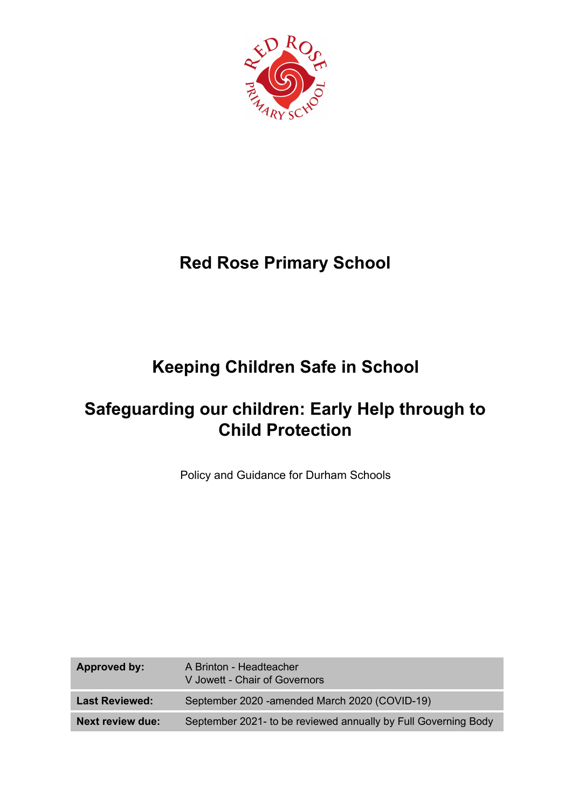

## **Red Rose Primary School**

# **Keeping Children Safe in School**

## **Safeguarding our children: Early Help through to Child Protection**

Policy and Guidance for Durham Schools

| Approved by:            | A Brinton - Headteacher<br>V Jowett - Chair of Governors       |
|-------------------------|----------------------------------------------------------------|
| <b>Last Reviewed:</b>   | September 2020 - amended March 2020 (COVID-19)                 |
| <b>Next review due:</b> | September 2021- to be reviewed annually by Full Governing Body |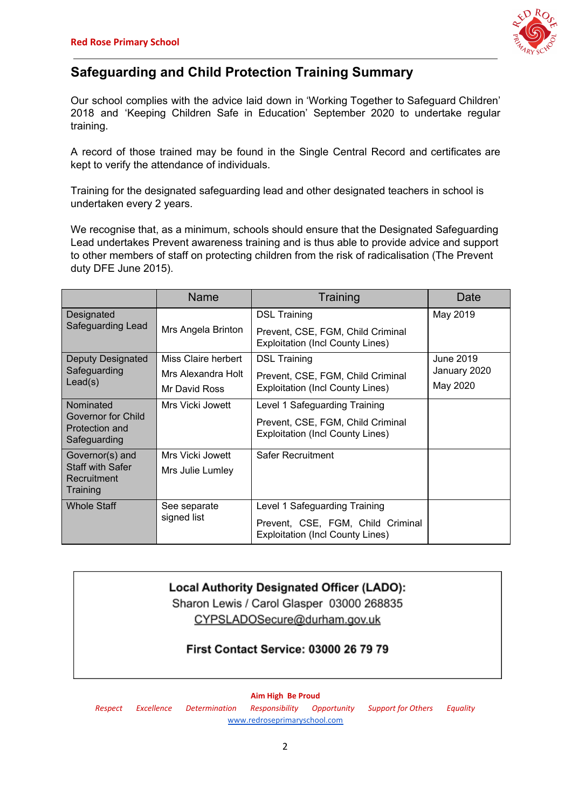

## **Safeguarding and Child Protection Training Summary**

Our school complies with the advice laid down in 'Working Together to Safeguard Children' 2018 and 'Keeping Children Safe in Education' September 2020 to undertake regular training.

A record of those trained may be found in the Single Central Record and certificates are kept to verify the attendance of individuals.

Training for the designated safeguarding lead and other designated teachers in school is undertaken every 2 years.

We recognise that, as a minimum, schools should ensure that the Designated Safeguarding Lead undertakes Prevent awareness training and is thus able to provide advice and support to other members of staff on protecting children from the risk of radicalisation (The Prevent duty DFE June 2015).

|                                                                       | Name                        | Training                                                                     | Date         |
|-----------------------------------------------------------------------|-----------------------------|------------------------------------------------------------------------------|--------------|
| Designated<br>Safeguarding Lead                                       |                             | <b>DSL Training</b>                                                          | May 2019     |
|                                                                       | Mrs Angela Brinton          | Prevent, CSE, FGM, Child Criminal<br><b>Exploitation (Incl County Lines)</b> |              |
| Deputy Designated<br>Safeguarding<br>Lead(s)                          | Miss Claire herbert         | <b>DSL Training</b>                                                          | June 2019    |
|                                                                       | Mrs Alexandra Holt          | Prevent, CSE, FGM, Child Criminal                                            | January 2020 |
|                                                                       | Mr David Ross               | <b>Exploitation (Incl County Lines)</b>                                      | May 2020     |
| Nominated<br>Governor for Child<br>Protection and<br>Safeguarding     | Mrs Vicki Jowett            | Level 1 Safeguarding Training                                                |              |
|                                                                       |                             | Prevent, CSE, FGM, Child Criminal<br><b>Exploitation (Incl County Lines)</b> |              |
| Governor(s) and<br><b>Staff with Safer</b><br>Recruitment<br>Training | Mrs Vicki Jowett            | Safer Recruitment                                                            |              |
|                                                                       | Mrs Julie Lumley            |                                                                              |              |
| <b>Whole Staff</b>                                                    | See separate<br>signed list | Level 1 Safeguarding Training                                                |              |
|                                                                       |                             | Prevent, CSE, FGM, Child Criminal<br><b>Exploitation (Incl County Lines)</b> |              |

## Local Authority Designated Officer (LADO):

Sharon Lewis / Carol Glasper 03000 268835 CYPSLADOSecure@durham.gov.uk

## **First Contact Service: 03000 26 79 79**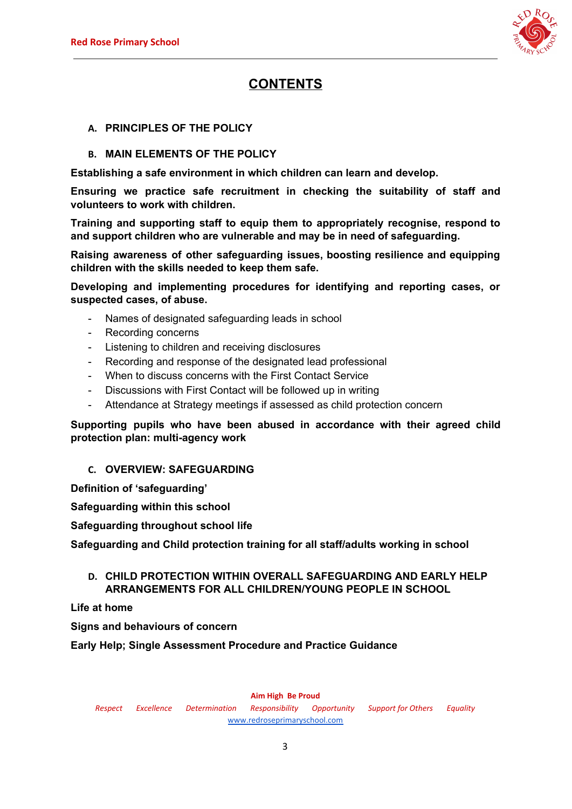

## **CONTENTS**

### **A. PRINCIPLES OF THE POLICY**

### **B. MAIN ELEMENTS OF THE POLICY**

**Establishing a safe environment in which children can learn and develop.**

**Ensuring we practice safe recruitment in checking the suitability of staff and volunteers to work with children.**

**Training and supporting staff to equip them to appropriately recognise, respond to and support children who are vulnerable and may be in need of safeguarding.**

**Raising awareness of other safeguarding issues, boosting resilience and equipping children with the skills needed to keep them safe.**

**Developing and implementing procedures for identifying and reporting cases, or suspected cases, of abuse.**

- Names of designated safeguarding leads in school
- Recording concerns
- Listening to children and receiving disclosures
- Recording and response of the designated lead professional
- When to discuss concerns with the First Contact Service
- Discussions with First Contact will be followed up in writing
- Attendance at Strategy meetings if assessed as child protection concern

### **Supporting pupils who have been abused in accordance with their agreed child protection plan: multi-agency work**

#### **C. OVERVIEW: SAFEGUARDING**

**Definition of 'safeguarding'**

**Safeguarding within this school**

**Safeguarding throughout school life**

**Safeguarding and Child protection training for all staff/adults working in school**

### **D. CHILD PROTECTION WITHIN OVERALL SAFEGUARDING AND EARLY HELP ARRANGEMENTS FOR ALL CHILDREN/YOUNG PEOPLE IN SCHOOL**

**Life at home**

**Signs and behaviours of concern**

**Early Help; Single Assessment Procedure and Practice Guidance**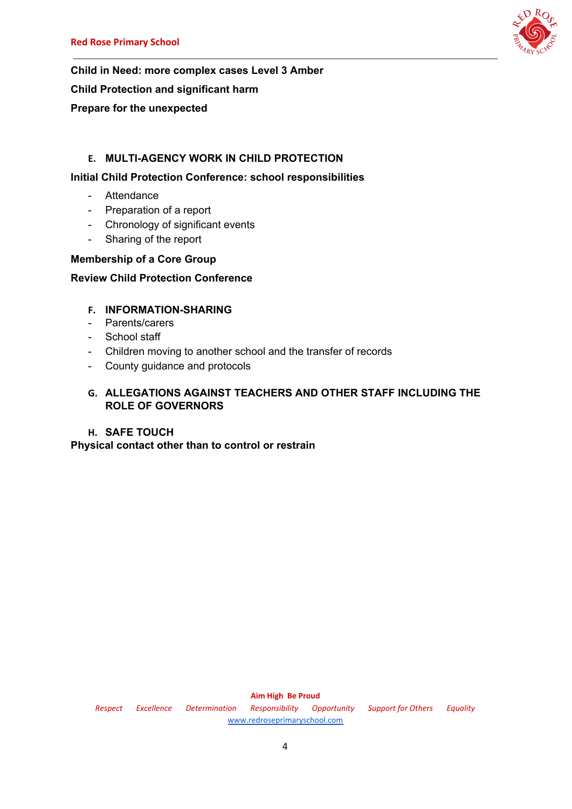

**Child in Need: more complex cases Level 3 Amber Child Protection and significant harm Prepare for the unexpected**

## **E. MULTI-AGENCY WORK IN CHILD PROTECTION**

## **Initial Child Protection Conference: school responsibilities**

- Attendance
- Preparation of a report
- Chronology of significant events
- Sharing of the report

## **Membership of a Core Group**

## **Review Child Protection Conference**

## **F. INFORMATION-SHARING**

- Parents/carers
- School staff
- Children moving to another school and the transfer of records
- County guidance and protocols

## **G. ALLEGATIONS AGAINST TEACHERS AND OTHER STAFF INCLUDING THE ROLE OF GOVERNORS**

## **H. SAFE TOUCH**

**Physical contact other than to control or restrain**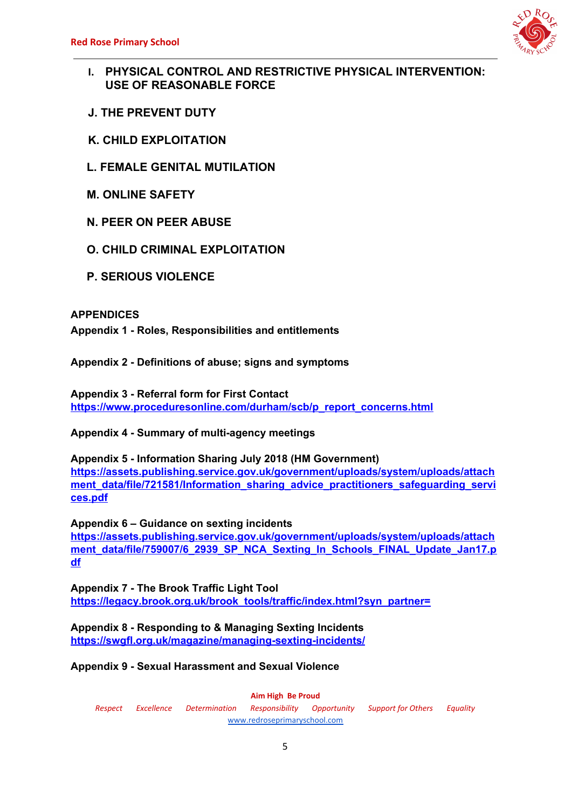

- **I. PHYSICAL CONTROL AND RESTRICTIVE PHYSICAL INTERVENTION: USE OF REASONABLE FORCE**
- **J. THE PREVENT DUTY**
- **K. CHILD EXPLOITATION**
- **L. FEMALE GENITAL MUTILATION**
- **M. ONLINE SAFETY**
- **N. PEER ON PEER ABUSE**
- **O. CHILD CRIMINAL EXPLOITATION**
- **P. SERIOUS VIOLENCE**

## **APPENDICES**

**Appendix 1 - Roles, Responsibilities and entitlements**

**Appendix 2 - Definitions of abuse; signs and symptoms**

**Appendix 3 - Referral form for First Contact [https://www.proceduresonline.com/durham/scb/p\\_report\\_concerns.html](https://www.proceduresonline.com/durham/scb/p_report_concerns.html)**

**Appendix 4 - Summary of multi-agency meetings**

**Appendix 5 - Information Sharing July 2018 (HM Government) [https://assets.publishing.service.gov.uk/government/uploads/system/uploads/attach](https://assets.publishing.service.gov.uk/government/uploads/system/uploads/attachment_data/file/721581/Information_sharing_advice_practitioners_safeguarding_services.pdf)** [ment\\_data/file/721581/Information\\_sharing\\_advice\\_practitioners\\_safeguarding\\_servi](https://assets.publishing.service.gov.uk/government/uploads/system/uploads/attachment_data/file/721581/Information_sharing_advice_practitioners_safeguarding_services.pdf) **[ces.pdf](https://assets.publishing.service.gov.uk/government/uploads/system/uploads/attachment_data/file/721581/Information_sharing_advice_practitioners_safeguarding_services.pdf)**

**Appendix 6 – Guidance on sexting incidents [https://assets.publishing.service.gov.uk/government/uploads/system/uploads/attach](https://assets.publishing.service.gov.uk/government/uploads/system/uploads/attachment_data/file/759007/6_2939_SP_NCA_Sexting_In_Schools_FINAL_Update_Jan17.pdf)** [ment\\_data/file/759007/6\\_2939\\_SP\\_NCA\\_Sexting\\_In\\_Schools\\_FINAL\\_Update\\_Jan17.p](https://assets.publishing.service.gov.uk/government/uploads/system/uploads/attachment_data/file/759007/6_2939_SP_NCA_Sexting_In_Schools_FINAL_Update_Jan17.pdf) **[df](https://assets.publishing.service.gov.uk/government/uploads/system/uploads/attachment_data/file/759007/6_2939_SP_NCA_Sexting_In_Schools_FINAL_Update_Jan17.pdf)**

**Appendix 7 - The Brook Traffic Light Tool [https://legacy.brook.org.uk/brook\\_tools/traffic/index.html?syn\\_partner=](https://legacy.brook.org.uk/brook_tools/traffic/index.html?syn_partner=)**

**Appendix 8 - Responding to & Managing Sexting Incidents <https://swgfl.org.uk/magazine/managing-sexting-incidents/>**

**Appendix 9 - Sexual Harassment and Sexual Violence**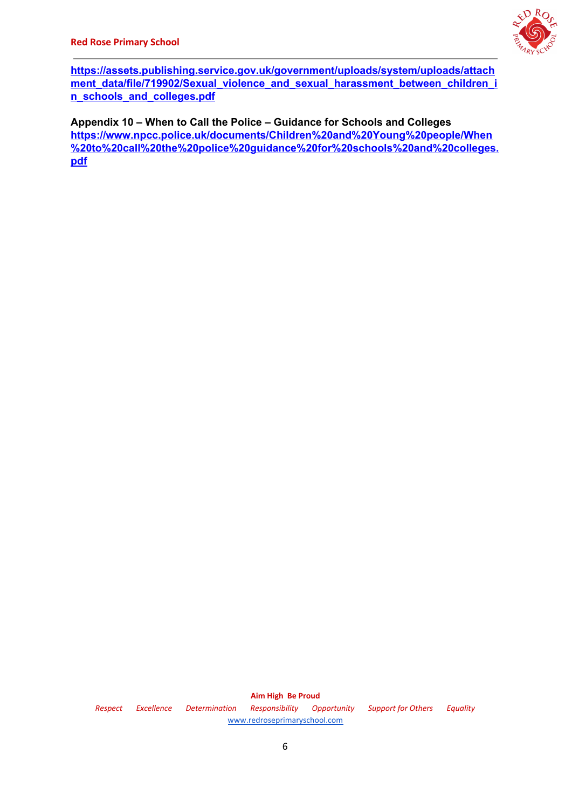

**[https://assets.publishing.service.gov.uk/government/uploads/system/uploads/attach](https://assets.publishing.service.gov.uk/government/uploads/system/uploads/attachment_data/file/719902/Sexual_violence_and_sexual_harassment_between_children_in_schools_and_colleges.pdf) [ment\\_data/file/719902/Sexual\\_violence\\_and\\_sexual\\_harassment\\_between\\_children\\_i](https://assets.publishing.service.gov.uk/government/uploads/system/uploads/attachment_data/file/719902/Sexual_violence_and_sexual_harassment_between_children_in_schools_and_colleges.pdf) [n\\_schools\\_and\\_colleges.pdf](https://assets.publishing.service.gov.uk/government/uploads/system/uploads/attachment_data/file/719902/Sexual_violence_and_sexual_harassment_between_children_in_schools_and_colleges.pdf)**

**Appendix 10 – When to Call the Police – Guidance for Schools and Colleges [https://www.npcc.police.uk/documents/Children%20and%20Young%20people/When](https://www.npcc.police.uk/documents/Children%20and%20Young%20people/When%20to%20call%20the%20police%20guidance%20for%20schools%20and%20colleges.pdf) [%20to%20call%20the%20police%20guidance%20for%20schools%20and%20colleges.](https://www.npcc.police.uk/documents/Children%20and%20Young%20people/When%20to%20call%20the%20police%20guidance%20for%20schools%20and%20colleges.pdf) [pdf](https://www.npcc.police.uk/documents/Children%20and%20Young%20people/When%20to%20call%20the%20police%20guidance%20for%20schools%20and%20colleges.pdf)**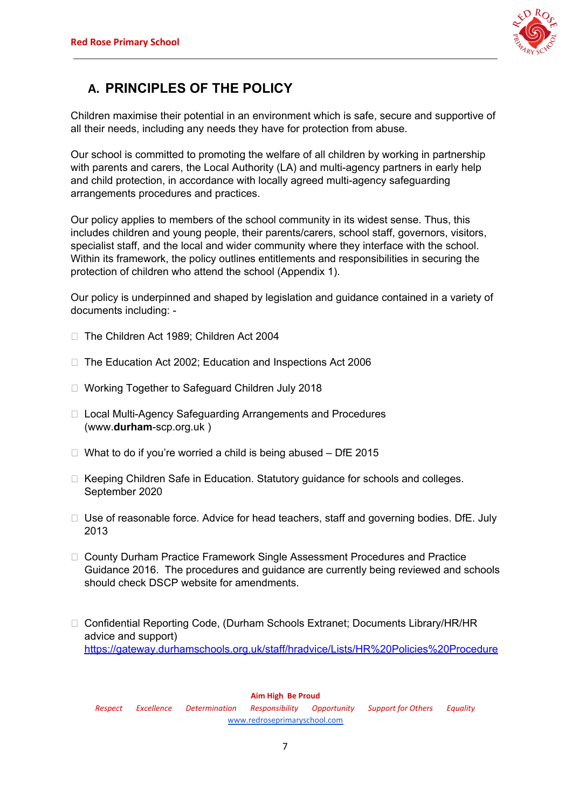

## **A. PRINCIPLES OF THE POLICY**

Children maximise their potential in an environment which is safe, secure and supportive of all their needs, including any needs they have for protection from abuse.

Our school is committed to promoting the welfare of all children by working in partnership with parents and carers, the Local Authority (LA) and multi-agency partners in early help and child protection, in accordance with locally agreed multi-agency safeguarding arrangements procedures and practices.

Our policy applies to members of the school community in its widest sense. Thus, this includes children and young people, their parents/carers, school staff, governors, visitors, specialist staff, and the local and wider community where they interface with the school. Within its framework, the policy outlines entitlements and responsibilities in securing the protection of children who attend the school (Appendix 1).

Our policy is underpinned and shaped by legislation and guidance contained in a variety of documents including: -

- □ The Children Act 1989; Children Act 2004
- □ The Education Act 2002; Education and Inspections Act 2006
- □ Working Together to Safeguard Children July 2018
- □ Local Multi-Agency Safeguarding Arrangements and Procedures (www.**durham**-scp.org.uk )
- $\Box$  What to do if you're worried a child is being abused DfE 2015
- $\Box$  Keeping Children Safe in Education. Statutory guidance for schools and colleges. September 2020
- $\Box$  Use of reasonable force. Advice for head teachers, staff and governing bodies. DfE. July 2013
- □ County Durham Practice Framework Single Assessment Procedures and Practice Guidance 2016. The procedures and guidance are currently being reviewed and schools should check DSCP website for amendments.
- □ Confidential Reporting Code, (Durham Schools Extranet; Documents Library/HR/HR advice and support) [https://gateway.durhamschools.org.uk/staff/hradvice/Lists/HR%20Policies%20Procedure](https://gateway.durhamschools.org.uk/staff/hradvice/Lists/HR%20Policies%20Procedures%20and%20Guidance/Document.aspx?ID=6&Source=https://gateway.durhamschools.org.uk/staff/hradvice%2FLists/HR%20Policies%20Procedures%20and%20Guidance%20)

#### **Aim High Be Proud**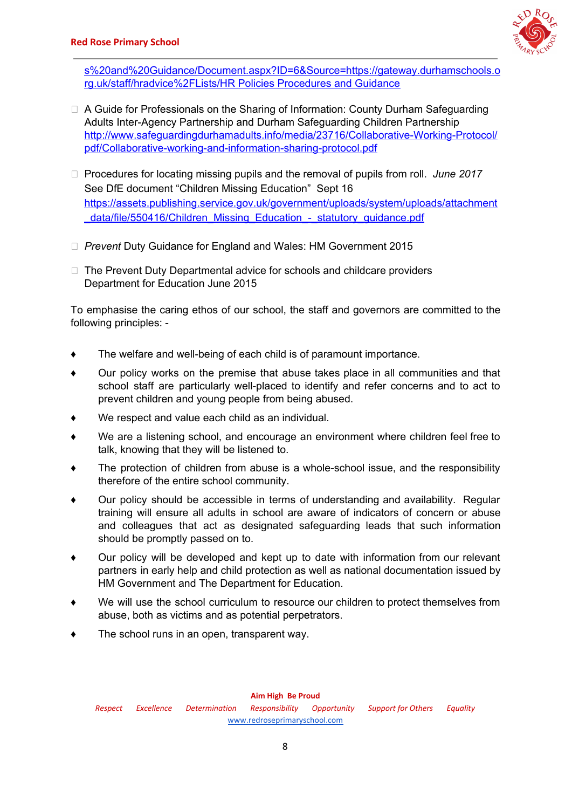

[s%20and%20Guidance/Document.aspx?ID=6&Source=https://gateway.durhamschools.o](https://gateway.durhamschools.org.uk/staff/hradvice/Lists/HR%20Policies%20Procedures%20and%20Guidance/Document.aspx?ID=6&Source=https://gateway.durhamschools.org.uk/staff/hradvice%2FLists/HR%20Policies%20Procedures%20and%20Guidance%20) [rg.uk/staff/hradvice%2FLists/HR](https://gateway.durhamschools.org.uk/staff/hradvice/Lists/HR%20Policies%20Procedures%20and%20Guidance/Document.aspx?ID=6&Source=https://gateway.durhamschools.org.uk/staff/hradvice%2FLists/HR%20Policies%20Procedures%20and%20Guidance%20) Policies Procedures and Guidance

- □ A Guide for Professionals on the Sharing of Information: County Durham Safeguarding Adults Inter-Agency Partnership and Durham Safeguarding Children Partnership [http://www.safeguardingdurhamadults.info/media/23716/Collaborative-Working-Protocol/](http://www.safeguardingdurhamadults.info/media/23716/Collaborative-Working-Protocol/pdf/Collaborative-working-and-information-sharing-protocol.pdf) [pdf/Collaborative-working-and-information-sharing-protocol.pdf](http://www.safeguardingdurhamadults.info/media/23716/Collaborative-Working-Protocol/pdf/Collaborative-working-and-information-sharing-protocol.pdf)
- □ Procedures for locating missing pupils and the removal of pupils from roll. *June* 2017 See DfE document "Children Missing Education" Sept 16 [https://assets.publishing.service.gov.uk/government/uploads/system/uploads/attachment](https://assets.publishing.service.gov.uk/government/uploads/system/uploads/attachment_data/file/550416/Children_Missing_Education_-_statutory_guidance.pdf) [\\_data/file/550416/Children\\_Missing\\_Education\\_-\\_statutory\\_guidance.pdf](https://assets.publishing.service.gov.uk/government/uploads/system/uploads/attachment_data/file/550416/Children_Missing_Education_-_statutory_guidance.pdf)
- *Prevent* Duty Guidance for England and Wales: HM Government 2015
- $\Box$  The Prevent Duty Departmental advice for schools and childcare providers Department for Education June 2015

To emphasise the caring ethos of our school, the staff and governors are committed to the following principles: -

- ♦ The welfare and well-being of each child is of paramount importance.
- ♦ Our policy works on the premise that abuse takes place in all communities and that school staff are particularly well-placed to identify and refer concerns and to act to prevent children and young people from being abused.
- We respect and value each child as an individual.
- We are a listening school, and encourage an environment where children feel free to talk, knowing that they will be listened to.
- The protection of children from abuse is a whole-school issue, and the responsibility therefore of the entire school community.
- Our policy should be accessible in terms of understanding and availability. Regular training will ensure all adults in school are aware of indicators of concern or abuse and colleagues that act as designated safeguarding leads that such information should be promptly passed on to.
- ♦ Our policy will be developed and kept up to date with information from our relevant partners in early help and child protection as well as national documentation issued by HM Government and The Department for Education.
- ♦ We will use the school curriculum to resource our children to protect themselves from abuse, both as victims and as potential perpetrators.
- The school runs in an open, transparent way.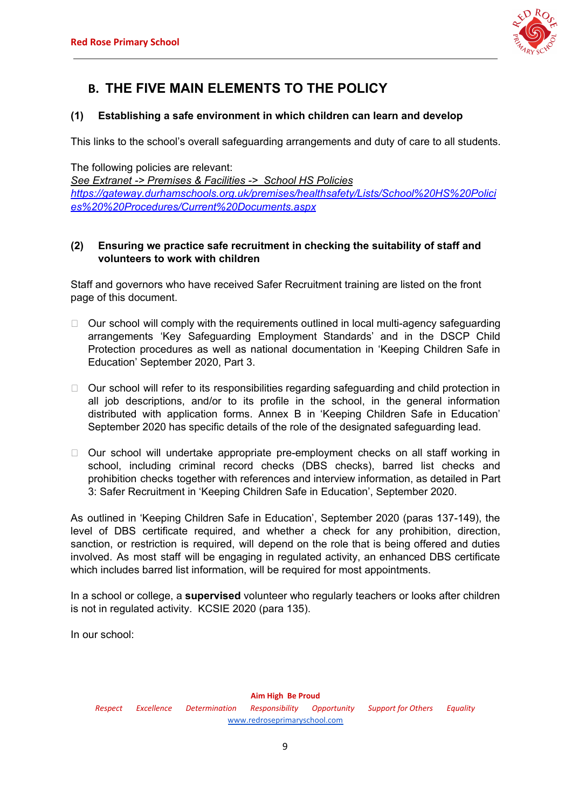

## **B. THE FIVE MAIN ELEMENTS TO THE POLICY**

### **(1) Establishing a safe environment in which children can learn and develop**

This links to the school's overall safeguarding arrangements and duty of care to all students.

The following policies are relevant:

*See Extranet -> Premises & Facilities -> School HS Policies [https://gateway.durhamschools.org.uk/premises/healthsafety/Lists/School%20HS%20Polici](https://gateway.durhamschools.org.uk/premises/healthsafety/Lists/School%20HS%20Policies%20%20Procedures/Current%20Documents.aspx) [es%20%20Procedures/Current%20Documents.aspx](https://gateway.durhamschools.org.uk/premises/healthsafety/Lists/School%20HS%20Policies%20%20Procedures/Current%20Documents.aspx)*

## **(2) Ensuring we practice safe recruitment in checking the suitability of staff and volunteers to work with children**

Staff and governors who have received Safer Recruitment training are listed on the front page of this document.

- $\Box$  Our school will comply with the requirements outlined in local multi-agency safeguarding arrangements 'Key Safeguarding Employment Standards' and in the DSCP Child Protection procedures as well as national documentation in 'Keeping Children Safe in Education' September 2020, Part 3.
- $\Box$  Our school will refer to its responsibilities regarding safeguarding and child protection in all job descriptions, and/or to its profile in the school, in the general information distributed with application forms. Annex B in 'Keeping Children Safe in Education' September 2020 has specific details of the role of the designated safeguarding lead.
- $\Box$  Our school will undertake appropriate pre-employment checks on all staff working in school, including criminal record checks (DBS checks), barred list checks and prohibition checks together with references and interview information, as detailed in Part 3: Safer Recruitment in 'Keeping Children Safe in Education', September 2020.

As outlined in 'Keeping Children Safe in Education', September 2020 (paras 137-149), the level of DBS certificate required, and whether a check for any prohibition, direction, sanction, or restriction is required, will depend on the role that is being offered and duties involved. As most staff will be engaging in regulated activity, an enhanced DBS certificate which includes barred list information, will be required for most appointments.

In a school or college, a **supervised** volunteer who regularly teachers or looks after children is not in regulated activity. KCSIE 2020 (para 135).

In our school: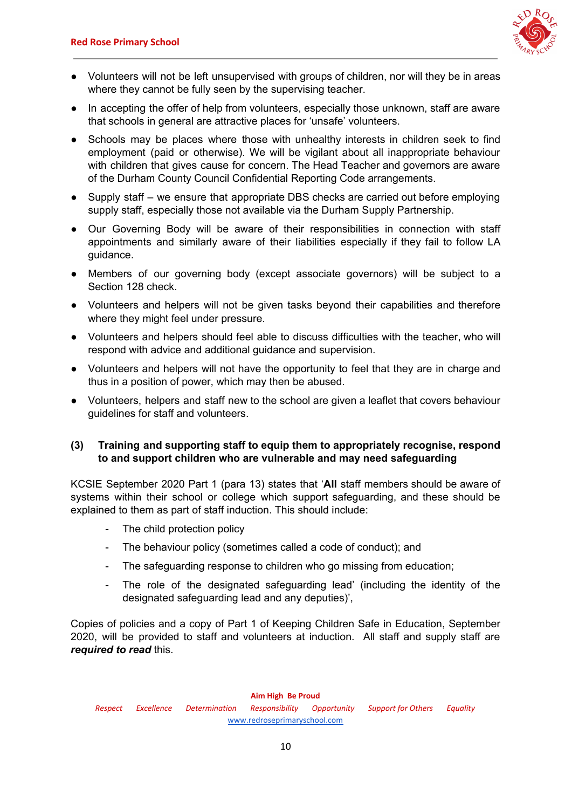

- Volunteers will not be left unsupervised with groups of children, nor will they be in areas where they cannot be fully seen by the supervising teacher.
- In accepting the offer of help from volunteers, especially those unknown, staff are aware that schools in general are attractive places for 'unsafe' volunteers.
- Schools may be places where those with unhealthy interests in children seek to find employment (paid or otherwise). We will be vigilant about all inappropriate behaviour with children that gives cause for concern. The Head Teacher and governors are aware of the Durham County Council Confidential Reporting Code arrangements.
- Supply staff we ensure that appropriate DBS checks are carried out before employing supply staff, especially those not available via the Durham Supply Partnership.
- Our Governing Body will be aware of their responsibilities in connection with staff appointments and similarly aware of their liabilities especially if they fail to follow LA guidance.
- Members of our governing body (except associate governors) will be subject to a Section 128 check.
- Volunteers and helpers will not be given tasks beyond their capabilities and therefore where they might feel under pressure.
- Volunteers and helpers should feel able to discuss difficulties with the teacher, who will respond with advice and additional guidance and supervision.
- Volunteers and helpers will not have the opportunity to feel that they are in charge and thus in a position of power, which may then be abused.
- Volunteers, helpers and staff new to the school are given a leaflet that covers behaviour guidelines for staff and volunteers.

### **(3) Training and supporting staff to equip them to appropriately recognise, respond to and support children who are vulnerable and may need safeguarding**

KCSIE September 2020 Part 1 (para 13) states that '**All** staff members should be aware of systems within their school or college which support safeguarding, and these should be explained to them as part of staff induction. This should include:

- The child protection policy
- The behaviour policy (sometimes called a code of conduct); and
- The safeguarding response to children who go missing from education;
- The role of the designated safeguarding lead' (including the identity of the designated safeguarding lead and any deputies)',

Copies of policies and a copy of Part 1 of Keeping Children Safe in Education, September 2020, will be provided to staff and volunteers at induction. All staff and supply staff are *required to read* this.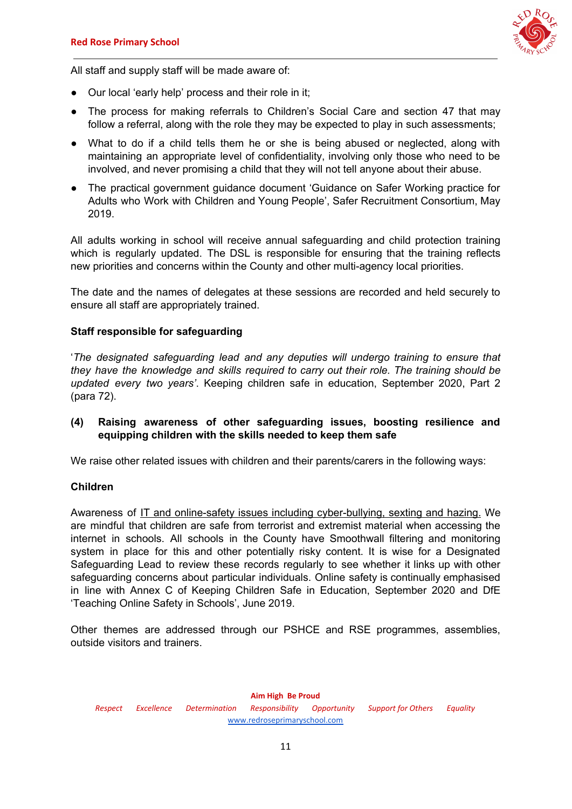

All staff and supply staff will be made aware of:

- Our local 'early help' process and their role in it;
- The process for making referrals to Children's Social Care and section 47 that may follow a referral, along with the role they may be expected to play in such assessments;
- What to do if a child tells them he or she is being abused or neglected, along with maintaining an appropriate level of confidentiality, involving only those who need to be involved, and never promising a child that they will not tell anyone about their abuse.
- The practical government guidance document 'Guidance on Safer Working practice for Adults who Work with Children and Young People', Safer Recruitment Consortium, May 2019.

All adults working in school will receive annual safeguarding and child protection training which is regularly updated. The DSL is responsible for ensuring that the training reflects new priorities and concerns within the County and other multi-agency local priorities.

The date and the names of delegates at these sessions are recorded and held securely to ensure all staff are appropriately trained.

### **Staff responsible for safeguarding**

'*The designated safeguarding lead and any deputies will undergo training to ensure that they have the knowledge and skills required to carry out their role. The training should be updated every two years'*. Keeping children safe in education, September 2020, Part 2 (para 72).

**(4) Raising awareness of other safeguarding issues, boosting resilience and equipping children with the skills needed to keep them safe**

We raise other related issues with children and their parents/carers in the following ways:

#### **Children**

Awareness of IT and online-safety issues including cyber-bullying, sexting and hazing. We are mindful that children are safe from terrorist and extremist material when accessing the internet in schools. All schools in the County have Smoothwall filtering and monitoring system in place for this and other potentially risky content. It is wise for a Designated Safeguarding Lead to review these records regularly to see whether it links up with other safeguarding concerns about particular individuals. Online safety is continually emphasised in line with Annex C of Keeping Children Safe in Education, September 2020 and DfE 'Teaching Online Safety in Schools', June 2019.

Other themes are addressed through our PSHCE and RSE programmes, assemblies, outside visitors and trainers.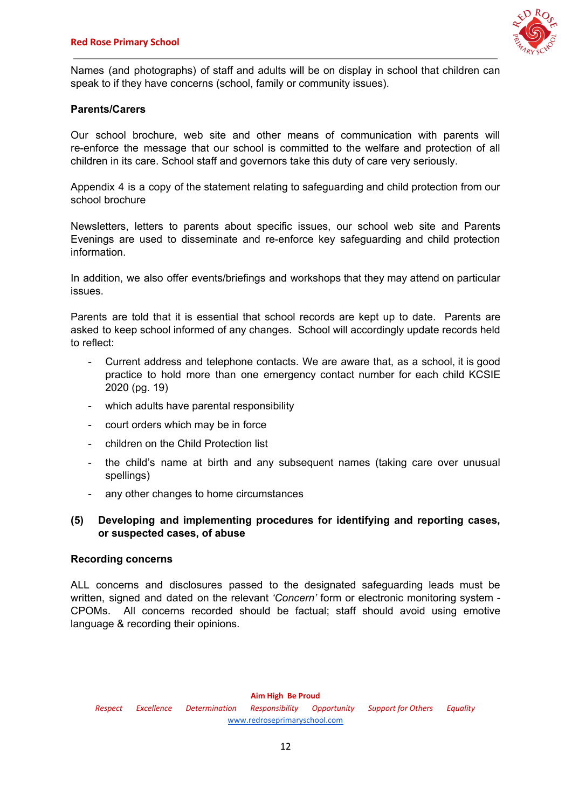

Names (and photographs) of staff and adults will be on display in school that children can speak to if they have concerns (school, family or community issues).

### **Parents/Carers**

Our school brochure, web site and other means of communication with parents will re-enforce the message that our school is committed to the welfare and protection of all children in its care. School staff and governors take this duty of care very seriously.

Appendix 4 is a copy of the statement relating to safeguarding and child protection from our school brochure

Newsletters, letters to parents about specific issues, our school web site and Parents Evenings are used to disseminate and re-enforce key safeguarding and child protection information.

In addition, we also offer events/briefings and workshops that they may attend on particular issues.

Parents are told that it is essential that school records are kept up to date. Parents are asked to keep school informed of any changes. School will accordingly update records held to reflect:

- Current address and telephone contacts. We are aware that, as a school, it is good practice to hold more than one emergency contact number for each child KCSIE 2020 (pg. 19)
- which adults have parental responsibility
- court orders which may be in force
- children on the Child Protection list
- the child's name at birth and any subsequent names (taking care over unusual spellings)
- any other changes to home circumstances

### **(5) Developing and implementing procedures for identifying and reporting cases, or suspected cases, of abuse**

#### **Recording concerns**

ALL concerns and disclosures passed to the designated safeguarding leads must be written, signed and dated on the relevant *'Concern'* form or electronic monitoring system - CPOMs. All concerns recorded should be factual; staff should avoid using emotive language & recording their opinions.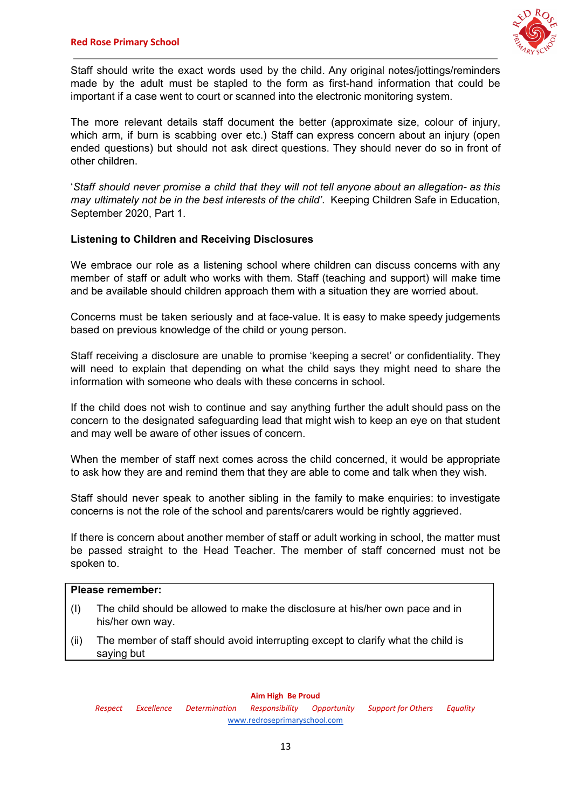

Staff should write the exact words used by the child. Any original notes/jottings/reminders made by the adult must be stapled to the form as first-hand information that could be important if a case went to court or scanned into the electronic monitoring system.

The more relevant details staff document the better (approximate size, colour of injury, which arm, if burn is scabbing over etc.) Staff can express concern about an injury (open ended questions) but should not ask direct questions. They should never do so in front of other children.

'*Staff should never promise a child that they will not tell anyone about an allegation- as this may ultimately not be in the best interests of the child'*. Keeping Children Safe in Education, September 2020, Part 1.

### **Listening to Children and Receiving Disclosures**

We embrace our role as a listening school where children can discuss concerns with any member of staff or adult who works with them. Staff (teaching and support) will make time and be available should children approach them with a situation they are worried about.

Concerns must be taken seriously and at face-value. It is easy to make speedy judgements based on previous knowledge of the child or young person.

Staff receiving a disclosure are unable to promise 'keeping a secret' or confidentiality. They will need to explain that depending on what the child says they might need to share the information with someone who deals with these concerns in school.

If the child does not wish to continue and say anything further the adult should pass on the concern to the designated safeguarding lead that might wish to keep an eye on that student and may well be aware of other issues of concern.

When the member of staff next comes across the child concerned, it would be appropriate to ask how they are and remind them that they are able to come and talk when they wish.

Staff should never speak to another sibling in the family to make enquiries: to investigate concerns is not the role of the school and parents/carers would be rightly aggrieved.

If there is concern about another member of staff or adult working in school, the matter must be passed straight to the Head Teacher. The member of staff concerned must not be spoken to.

### **Please remember:**

- (I) The child should be allowed to make the disclosure at his/her own pace and in his/her own way.
- (ii) The member of staff should avoid interrupting except to clarify what the child is saying but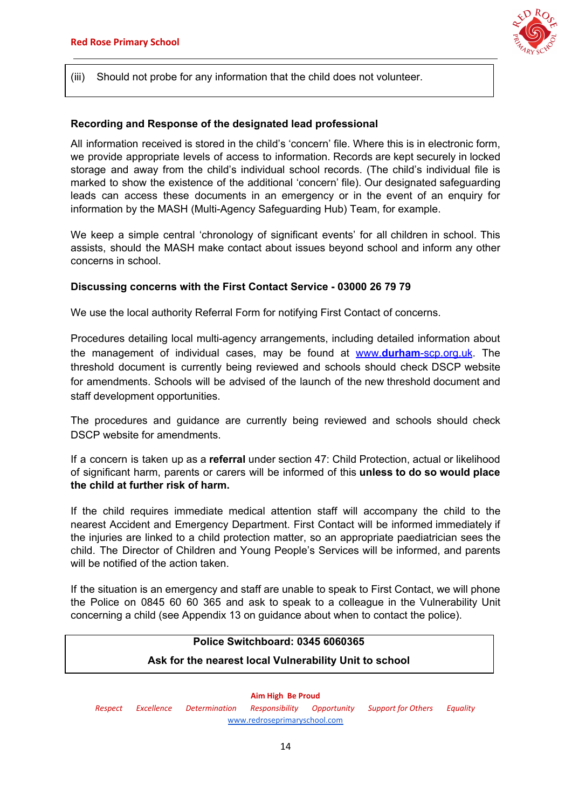

(iii) Should not probe for any information that the child does not volunteer.

#### **Recording and Response of the designated lead professional**

All information received is stored in the child's 'concern' file. Where this is in electronic form, we provide appropriate levels of access to information. Records are kept securely in locked storage and away from the child's individual school records. (The child's individual file is marked to show the existence of the additional 'concern' file). Our designated safeguarding leads can access these documents in an emergency or in the event of an enquiry for information by the MASH (Multi-Agency Safeguarding Hub) Team, for example.

We keep a simple central 'chronology of significant events' for all children in school. This assists, should the MASH make contact about issues beyond school and inform any other concerns in school.

#### **Discussing concerns with the First Contact Service - 03000 26 79 79**

We use the local authority Referral Form for notifying First Contact of concerns.

Procedures detailing local multi-agency arrangements, including detailed information about the management of individual cases, may be found at [www.](http://www.durham-scp.org.uk/)**[durham](http://www.durham-scp.org.uk/)**[-scp.org.uk](http://www.durham-scp.org.uk/). The threshold document is currently being reviewed and schools should check DSCP website for amendments. Schools will be advised of the launch of the new threshold document and staff development opportunities.

The procedures and guidance are currently being reviewed and schools should check DSCP website for amendments.

If a concern is taken up as a **referral** under section 47: Child Protection, actual or likelihood of significant harm, parents or carers will be informed of this **unless to do so would place the child at further risk of harm.**

If the child requires immediate medical attention staff will accompany the child to the nearest Accident and Emergency Department. First Contact will be informed immediately if the injuries are linked to a child protection matter, so an appropriate paediatrician sees the child. The Director of Children and Young People's Services will be informed, and parents will be notified of the action taken.

If the situation is an emergency and staff are unable to speak to First Contact, we will phone the Police on 0845 60 60 365 and ask to speak to a colleague in the Vulnerability Unit concerning a child (see Appendix 13 on guidance about when to contact the police).

## **Police Switchboard: 0345 6060365 Ask for the nearest local Vulnerability Unit to school**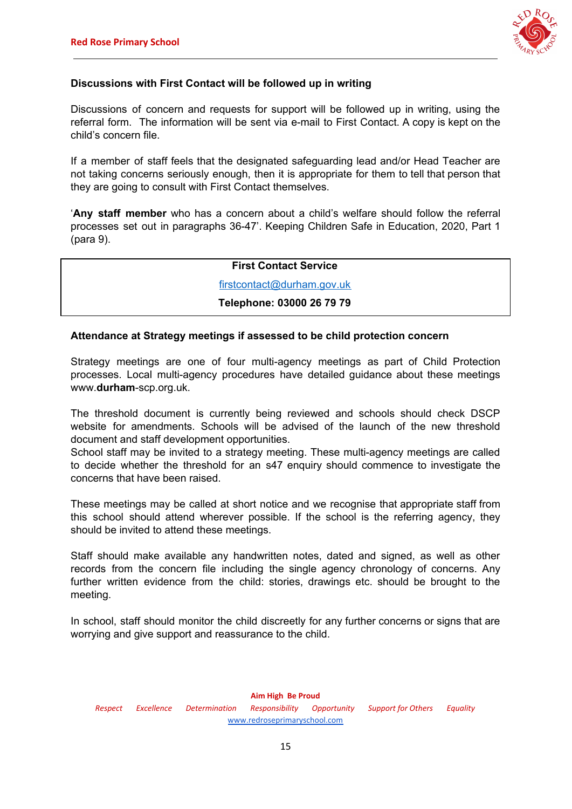

### **Discussions with First Contact will be followed up in writing**

Discussions of concern and requests for support will be followed up in writing, using the referral form. The information will be sent via e-mail to First Contact. A copy is kept on the child's concern file.

If a member of staff feels that the designated safeguarding lead and/or Head Teacher are not taking concerns seriously enough, then it is appropriate for them to tell that person that they are going to consult with First Contact themselves.

'**Any staff member** who has a concern about a child's welfare should follow the referral processes set out in paragraphs 36-47'. Keeping Children Safe in Education, 2020, Part 1 (para 9).

## **First Contact Service**

[firstcontact@durham.gov.uk](mailto:firstcontact@durham.gov.uk)

### **Telephone: 03000 26 79 79**

### **Attendance at Strategy meetings if assessed to be child protection concern**

Strategy meetings are one of four multi-agency meetings as part of Child Protection processes. Local multi-agency procedures have detailed guidance about these meetings www.**durham**-scp.org.uk.

The threshold document is currently being reviewed and schools should check DSCP website for amendments. Schools will be advised of the launch of the new threshold document and staff development opportunities.

School staff may be invited to a strategy meeting. These multi-agency meetings are called to decide whether the threshold for an s47 enquiry should commence to investigate the concerns that have been raised.

These meetings may be called at short notice and we recognise that appropriate staff from this school should attend wherever possible. If the school is the referring agency, they should be invited to attend these meetings.

Staff should make available any handwritten notes, dated and signed, as well as other records from the concern file including the single agency chronology of concerns. Any further written evidence from the child: stories, drawings etc. should be brought to the meeting.

In school, staff should monitor the child discreetly for any further concerns or signs that are worrying and give support and reassurance to the child.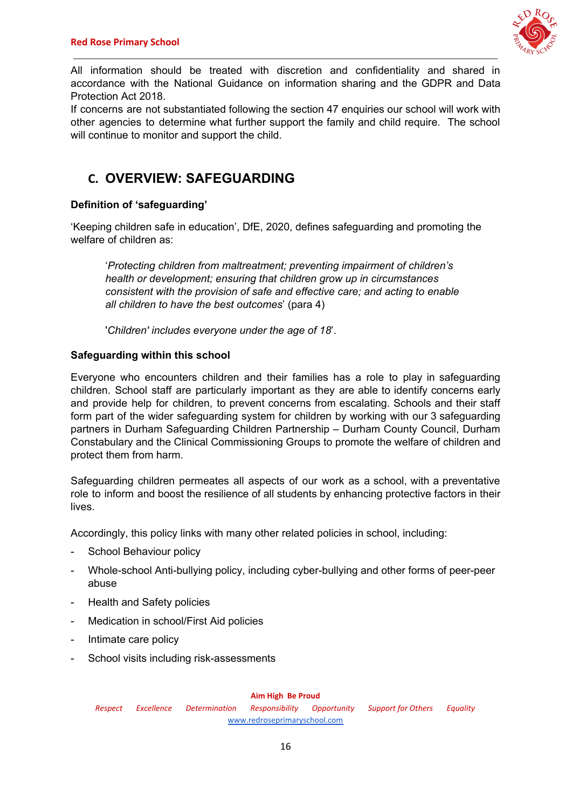

All information should be treated with discretion and confidentiality and shared in accordance with the National Guidance on information sharing and the GDPR and Data Protection Act 2018.

If concerns are not substantiated following the section 47 enquiries our school will work with other agencies to determine what further support the family and child require. The school will continue to monitor and support the child.

## **C. OVERVIEW: SAFEGUARDING**

## **Definition of 'safeguarding'**

'Keeping children safe in education', DfE, 2020, defines safeguarding and promoting the welfare of children as:

'*Protecting children from maltreatment; preventing impairment of children's health or development; ensuring that children grow up in circumstances consistent with the provision of safe and effective care; and acting to enable all children to have the best outcomes*' (para 4)

'*Children' includes everyone under the age of 18*'.

## **Safeguarding within this school**

Everyone who encounters children and their families has a role to play in safeguarding children. School staff are particularly important as they are able to identify concerns early and provide help for children, to prevent concerns from escalating. Schools and their staff form part of the wider safeguarding system for children by working with our 3 safeguarding partners in Durham Safeguarding Children Partnership – Durham County Council, Durham Constabulary and the Clinical Commissioning Groups to promote the welfare of children and protect them from harm.

Safeguarding children permeates all aspects of our work as a school, with a preventative role to inform and boost the resilience of all students by enhancing protective factors in their lives.

Accordingly, this policy links with many other related policies in school, including:

- School Behaviour policy
- Whole-school Anti-bullying policy, including cyber-bullying and other forms of peer-peer abuse
- Health and Safety policies
- Medication in school/First Aid policies
- Intimate care policy
- School visits including risk-assessments

#### **Aim High Be Proud**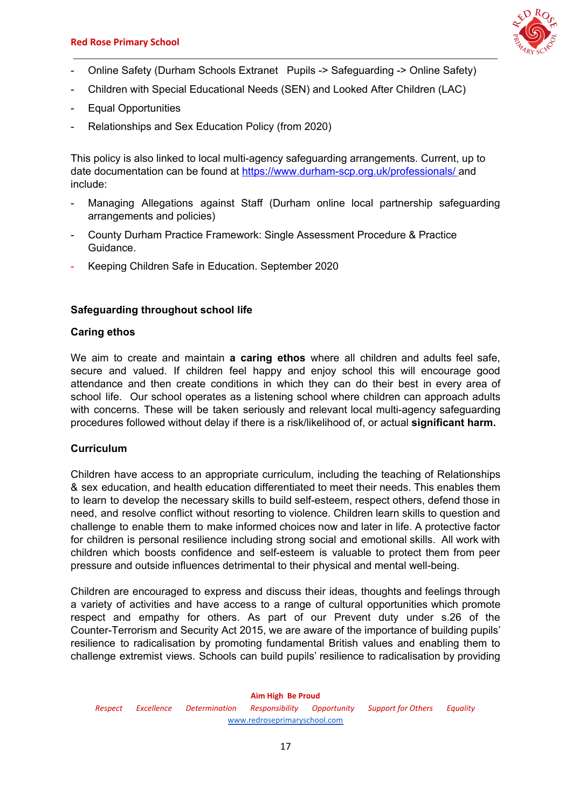

- Online Safety (Durham Schools Extranet Pupils -> Safeguarding -> Online Safety)
- Children with Special Educational Needs (SEN) and Looked After Children (LAC)
- Equal Opportunities
- Relationships and Sex Education Policy (from 2020)

This policy is also linked to local multi-agency safeguarding arrangements. Current, up to date documentation can be found at <https://www.durham-scp.org.uk/professionals/> and include:

- Managing Allegations against Staff (Durham online local partnership safeguarding arrangements and policies)
- County Durham Practice Framework: Single Assessment Procedure & Practice Guidance.
- Keeping Children Safe in Education. September 2020

#### **Safeguarding throughout school life**

#### **Caring ethos**

We aim to create and maintain **a caring ethos** where all children and adults feel safe, secure and valued. If children feel happy and enjoy school this will encourage good attendance and then create conditions in which they can do their best in every area of school life. Our school operates as a listening school where children can approach adults with concerns. These will be taken seriously and relevant local multi-agency safeguarding procedures followed without delay if there is a risk/likelihood of, or actual **significant harm.**

#### **Curriculum**

Children have access to an appropriate curriculum, including the teaching of Relationships & sex education, and health education differentiated to meet their needs. This enables them to learn to develop the necessary skills to build self-esteem, respect others, defend those in need, and resolve conflict without resorting to violence. Children learn skills to question and challenge to enable them to make informed choices now and later in life. A protective factor for children is personal resilience including strong social and emotional skills. All work with children which boosts confidence and self-esteem is valuable to protect them from peer pressure and outside influences detrimental to their physical and mental well-being.

Children are encouraged to express and discuss their ideas, thoughts and feelings through a variety of activities and have access to a range of cultural opportunities which promote respect and empathy for others. As part of our Prevent duty under s.26 of the Counter-Terrorism and Security Act 2015, we are aware of the importance of building pupils' resilience to radicalisation by promoting fundamental British values and enabling them to challenge extremist views. Schools can build pupils' resilience to radicalisation by providing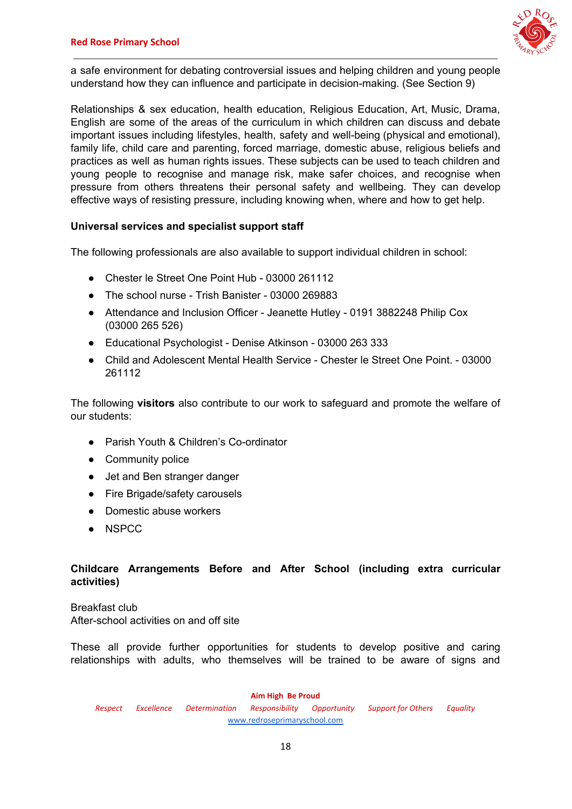

a safe environment for debating controversial issues and helping children and young people understand how they can influence and participate in decision-making. (See Section 9)

Relationships & sex education, health education, Religious Education, Art, Music, Drama, English are some of the areas of the curriculum in which children can discuss and debate important issues including lifestyles, health, safety and well-being (physical and emotional), family life, child care and parenting, forced marriage, domestic abuse, religious beliefs and practices as well as human rights issues. These subjects can be used to teach children and young people to recognise and manage risk, make safer choices, and recognise when pressure from others threatens their personal safety and wellbeing. They can develop effective ways of resisting pressure, including knowing when, where and how to get help.

### **Universal services and specialist support staff**

The following professionals are also available to support individual children in school:

- Chester le Street One Point Hub 03000 261112
- The school nurse Trish Banister 03000 269883
- Attendance and Inclusion Officer Jeanette Hutley 0191 3882248 Philip Cox (03000 265 526)
- Educational Psychologist Denise Atkinson 03000 263 333
- Child and Adolescent Mental Health Service Chester le Street One Point. 03000 261112

The following **visitors** also contribute to our work to safeguard and promote the welfare of our students:

- Parish Youth & Children's Co-ordinator
- Community police
- Jet and Ben stranger danger
- Fire Brigade/safety carousels
- Domestic abuse workers
- NSPCC

### **Childcare Arrangements Before and After School (including extra curricular activities)**

Breakfast club After-school activities on and off site

These all provide further opportunities for students to develop positive and caring relationships with adults, who themselves will be trained to be aware of signs and

**Aim High Be Proud**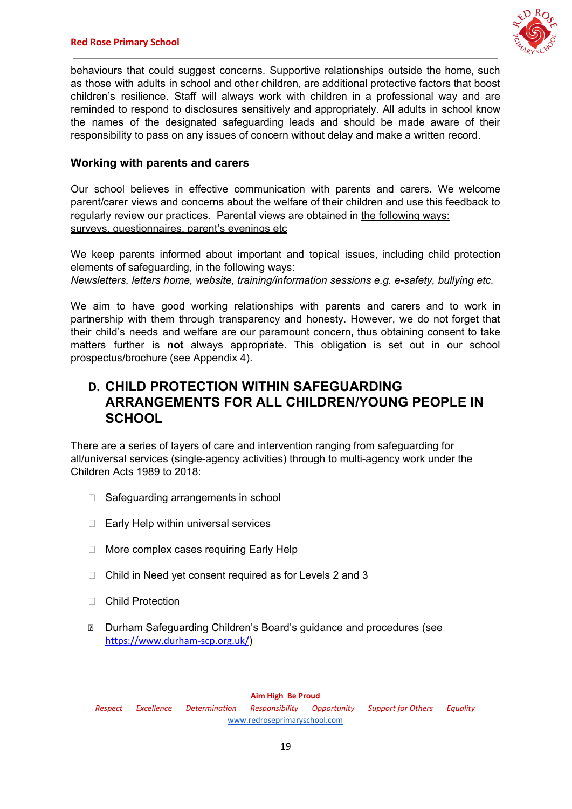

behaviours that could suggest concerns. Supportive relationships outside the home, such as those with adults in school and other children, are additional protective factors that boost children's resilience. Staff will always work with children in a professional way and are reminded to respond to disclosures sensitively and appropriately. All adults in school know the names of the designated safeguarding leads and should be made aware of their responsibility to pass on any issues of concern without delay and make a written record.

## **Working with parents and carers**

Our school believes in effective communication with parents and carers. We welcome parent/carer views and concerns about the welfare of their children and use this feedback to regularly review our practices. Parental views are obtained in the following ways: surveys, questionnaires, parent's evenings etc

We keep parents informed about important and topical issues, including child protection elements of safeguarding, in the following ways: *Newsletters, letters home, website, training/information sessions e.g. e-safety, bullying etc.*

We aim to have good working relationships with parents and carers and to work in partnership with them through transparency and honesty. However, we do not forget that their child's needs and welfare are our paramount concern, thus obtaining consent to take matters further is **not** always appropriate. This obligation is set out in our school prospectus/brochure (see Appendix 4).

## **D. CHILD PROTECTION WITHIN SAFEGUARDING ARRANGEMENTS FOR ALL CHILDREN/YOUNG PEOPLE IN SCHOOL**

There are a series of layers of care and intervention ranging from safeguarding for all/universal services (single-agency activities) through to multi-agency work under the Children Acts 1989 to 2018:

- $\Box$  Safeguarding arrangements in school
- $\Box$  Early Help within universal services
- □ More complex cases requiring Early Help
- □ Child in Need yet consent required as for Levels 2 and 3
- □ Child Protection
- Durham Safeguarding Children's Board's guidance and procedures (see <https://www.durham-scp.org.uk/>)

#### **Aim High Be Proud**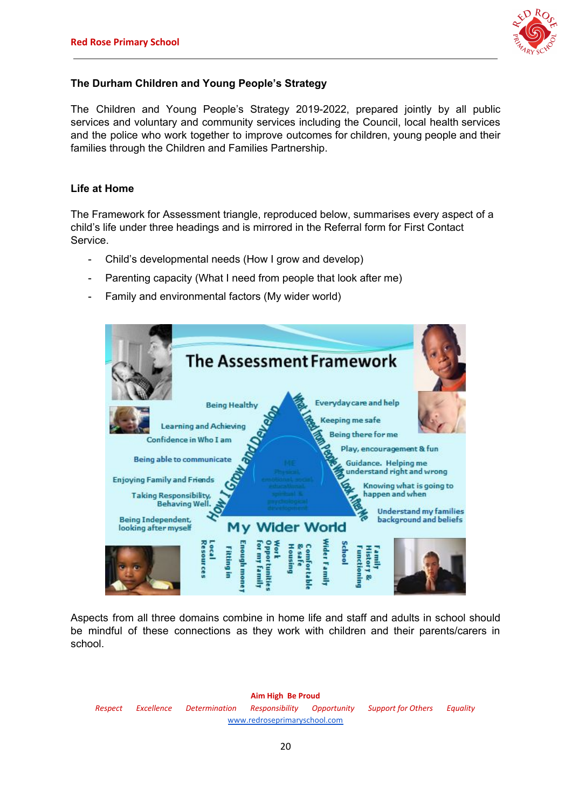

## **The Durham Children and Young People's Strategy**

The Children and Young People's Strategy 2019-2022, prepared jointly by all public services and voluntary and community services including the Council, local health services and the police who work together to improve outcomes for children, young people and their families through the Children and Families Partnership.

### **Life at Home**

The Framework for Assessment triangle, reproduced below, summarises every aspect of a child's life under three headings and is mirrored in the Referral form for First Contact Service.

- Child's developmental needs (How I grow and develop)
- Parenting capacity (What I need from people that look after me)
- Family and environmental factors (My wider world)



Aspects from all three domains combine in home life and staff and adults in school should be mindful of these connections as they work with children and their parents/carers in school.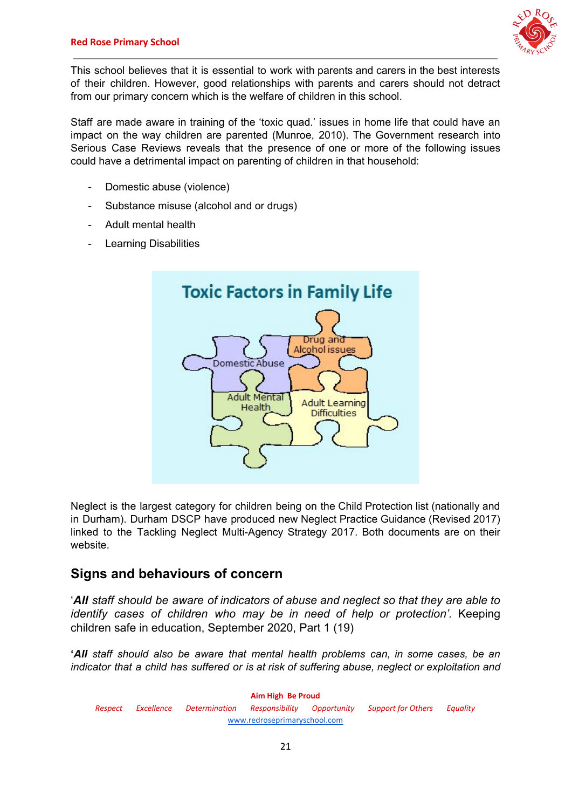

This school believes that it is essential to work with parents and carers in the best interests of their children. However, good relationships with parents and carers should not detract from our primary concern which is the welfare of children in this school.

Staff are made aware in training of the 'toxic quad.' issues in home life that could have an impact on the way children are parented (Munroe, 2010). The Government research into Serious Case Reviews reveals that the presence of one or more of the following issues could have a detrimental impact on parenting of children in that household:

- Domestic abuse (violence)
- Substance misuse (alcohol and or drugs)
- Adult mental health
- Learning Disabilities



Neglect is the largest category for children being on the Child Protection list (nationally and in Durham). Durham DSCP have produced new Neglect Practice Guidance (Revised 2017) linked to the Tackling Neglect Multi-Agency Strategy 2017. Both documents are on their website.

## **Signs and behaviours of concern**

'*All staff should be aware of indicators of abuse and neglect so that they are able to identify cases of children who may be in need of help or protection'.* Keeping children safe in education, September 2020, Part 1 (19)

**'***All staff should also be aware that mental health problems can, in some cases, be an indicator that a child has suffered or is at risk of suffering abuse, neglect or exploitation and*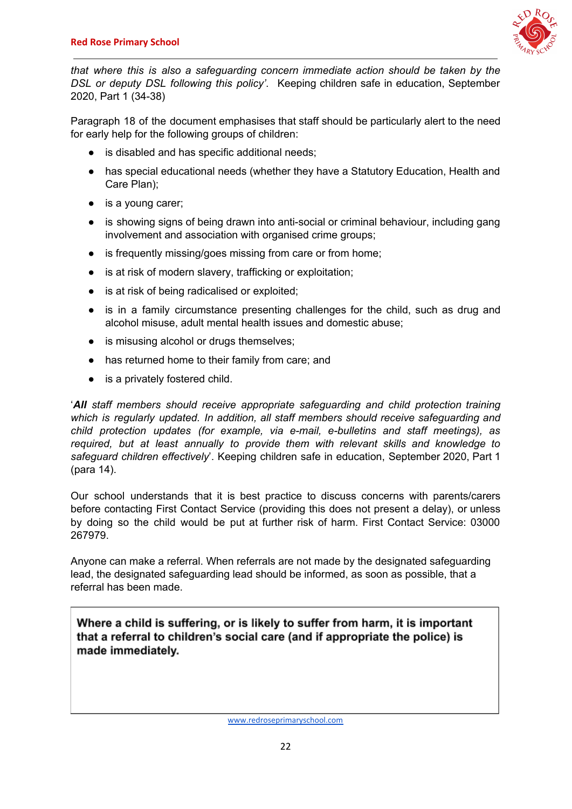

*that where this is also a safeguarding concern immediate action should be taken by the DSL or deputy DSL following this policy'*. Keeping children safe in education, September 2020, Part 1 (34-38)

Paragraph 18 of the document emphasises that staff should be particularly alert to the need for early help for the following groups of children:

- is disabled and has specific additional needs;
- has special educational needs (whether they have a Statutory Education, Health and Care Plan);
- is a young carer;
- is showing signs of being drawn into anti-social or criminal behaviour, including gang involvement and association with organised crime groups;
- is frequently missing/goes missing from care or from home;
- is at risk of modern slavery, trafficking or exploitation;
- is at risk of being radicalised or exploited;
- is in a family circumstance presenting challenges for the child, such as drug and alcohol misuse, adult mental health issues and domestic abuse;
- is misusing alcohol or drugs themselves;
- has returned home to their family from care; and
- is a privately fostered child.

'*All staff members should receive appropriate safeguarding and child protection training which is regularly updated. In addition, all staff members should receive safeguarding and child protection updates (for example, via e-mail, e-bulletins and staff meetings), as required, but at least annually to provide them with relevant skills and knowledge to safeguard children effectively*'. Keeping children safe in education, September 2020, Part 1 (para 14).

Our school understands that it is best practice to discuss concerns with parents/carers before contacting First Contact Service (providing this does not present a delay), or unless by doing so the child would be put at further risk of harm. First Contact Service: 03000 267979.

Anyone can make a referral. When referrals are not made by the designated safeguarding lead, the designated safeguarding lead should be informed, as soon as possible, that a referral has been made.

Where a child is suffering, or is likely to suffer from harm, it is important that a referral to children's social care (and if appropriate the police) is made immediately.

[www.redroseprimaryschool.com](http://www.redroseprimaryschool.com/)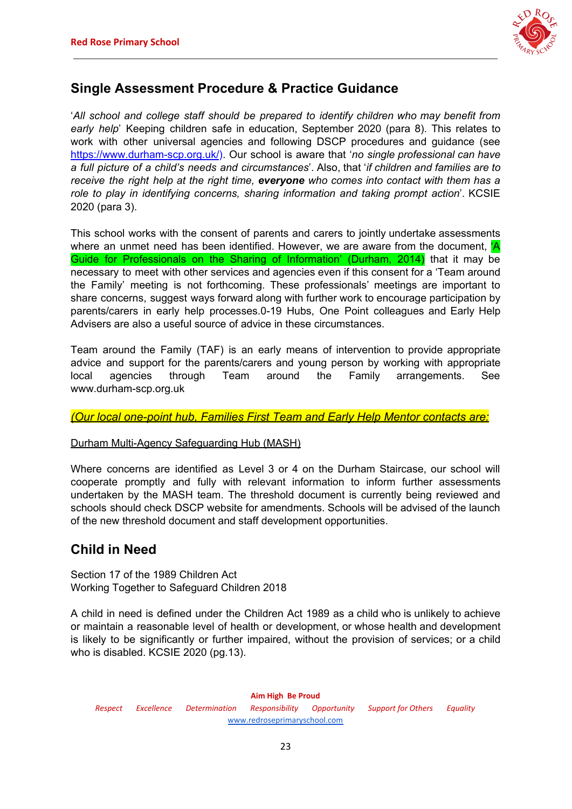

## **Single Assessment Procedure & Practice Guidance**

'*All school and college staff should be prepared to identify children who may benefit from early help*' Keeping children safe in education, September 2020 (para 8). This relates to work with other universal agencies and following DSCP procedures and guidance (see <https://www.durham-scp.org.uk/>). Our school is aware that '*no single professional can have a full picture of a child's needs and circumstances*'. Also, that '*if children and families are to receive the right help at the right time, everyone who comes into contact with them has a role to play in identifying concerns, sharing information and taking prompt action*'. KCSIE 2020 (para 3).

This school works with the consent of parents and carers to jointly undertake assessments where an unmet need has been identified. However, we are aware from the document, 'A Guide for Professionals on the Sharing of Information' (Durham, 2014) that it may be necessary to meet with other services and agencies even if this consent for a 'Team around the Family' meeting is not forthcoming. These professionals' meetings are important to share concerns, suggest ways forward along with further work to encourage participation by parents/carers in early help processes.0-19 Hubs, One Point colleagues and Early Help Advisers are also a useful source of advice in these circumstances.

Team around the Family (TAF) is an early means of intervention to provide appropriate advice and support for the parents/carers and young person by working with appropriate local agencies through Team around the Family arrangements. See www.durham-scp.org.uk

*(Our local one-point hub, Families First Team and Early Help Mentor contacts are:*

## Durham Multi-Agency Safeguarding Hub (MASH)

Where concerns are identified as Level 3 or 4 on the Durham Staircase, our school will cooperate promptly and fully with relevant information to inform further assessments undertaken by the MASH team. The threshold document is currently being reviewed and schools should check DSCP website for amendments. Schools will be advised of the launch of the new threshold document and staff development opportunities.

## **Child in Need**

Section 17 of the 1989 Children Act Working Together to Safeguard Children 2018

A child in need is defined under the Children Act 1989 as a child who is unlikely to achieve or maintain a reasonable level of health or development, or whose health and development is likely to be significantly or further impaired, without the provision of services; or a child who is disabled. KCSIE 2020 (pg.13).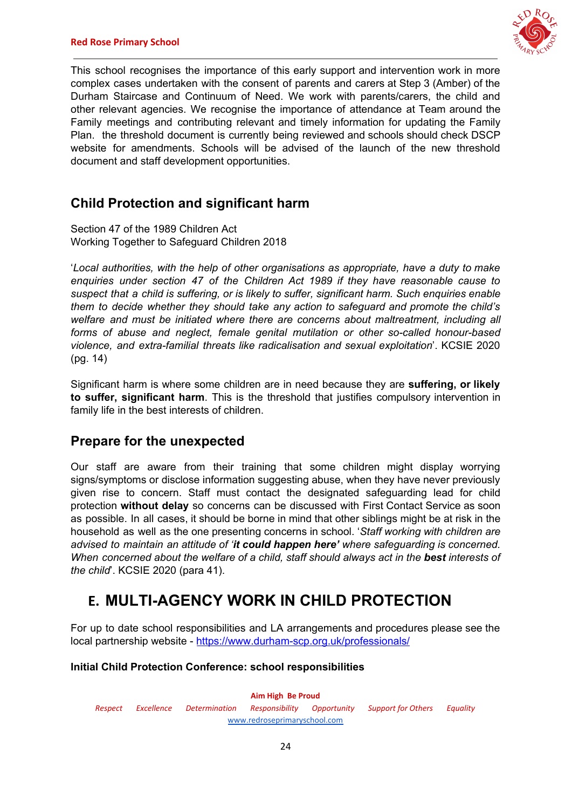

This school recognises the importance of this early support and intervention work in more complex cases undertaken with the consent of parents and carers at Step 3 (Amber) of the Durham Staircase and Continuum of Need. We work with parents/carers, the child and other relevant agencies. We recognise the importance of attendance at Team around the Family meetings and contributing relevant and timely information for updating the Family Plan. the threshold document is currently being reviewed and schools should check DSCP website for amendments. Schools will be advised of the launch of the new threshold document and staff development opportunities.

## **Child Protection and significant harm**

Section 47 of the 1989 Children Act Working Together to Safeguard Children 2018

'*Local authorities, with the help of other organisations as appropriate, have a duty to make enquiries under section 47 of the Children Act 1989 if they have reasonable cause to suspect that a child is suffering, or is likely to suffer, significant harm. Such enquiries enable them to decide whether they should take any action to safeguard and promote the child's welfare and must be initiated where there are concerns about maltreatment, including all forms of abuse and neglect, female genital mutilation or other so-called honour-based violence, and extra-familial threats like radicalisation and sexual exploitation*'. KCSIE 2020 (pg. 14)

Significant harm is where some children are in need because they are **suffering, or likely to suffer, significant harm**. This is the threshold that justifies compulsory intervention in family life in the best interests of children.

## **Prepare for the unexpected**

Our staff are aware from their training that some children might display worrying signs/symptoms or disclose information suggesting abuse, when they have never previously given rise to concern. Staff must contact the designated safeguarding lead for child protection **without delay** so concerns can be discussed with First Contact Service as soon as possible. In all cases, it should be borne in mind that other siblings might be at risk in the household as well as the one presenting concerns in school. '*Staff working with children are advised to maintain an attitude of 'it could happen here' where safeguarding is concerned. When concerned about the welfare of a child, staff should always act in the best interests of the child*'. KCSIE 2020 (para 41).

## **E. MULTI-AGENCY WORK IN CHILD PROTECTION**

For up to date school responsibilities and LA arrangements and procedures please see the local partnership website - <https://www.durham-scp.org.uk/professionals/>

## **Initial Child Protection Conference: school responsibilities**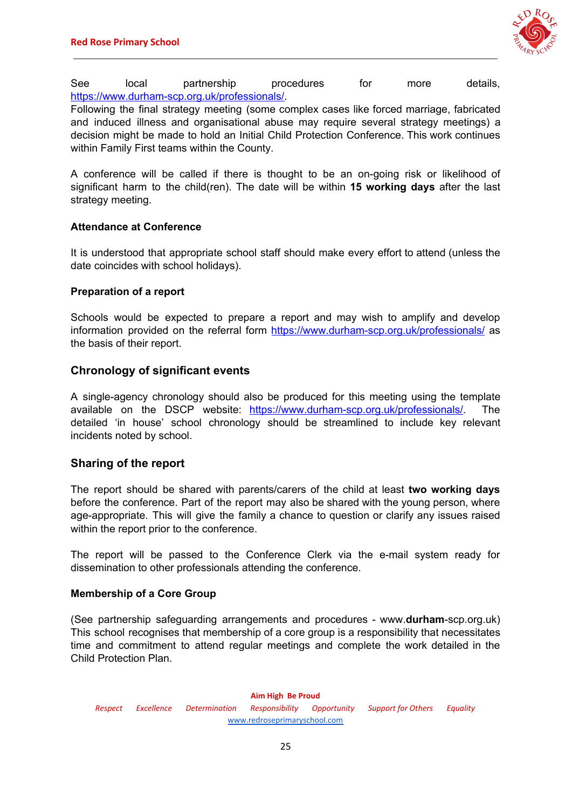

See local partnership procedures for more details, <https://www.durham-scp.org.uk/professionals/>.

Following the final strategy meeting (some complex cases like forced marriage, fabricated and induced illness and organisational abuse may require several strategy meetings) a decision might be made to hold an Initial Child Protection Conference. This work continues within Family First teams within the County.

A conference will be called if there is thought to be an on-going risk or likelihood of significant harm to the child(ren). The date will be within **15 working days** after the last strategy meeting.

#### **Attendance at Conference**

It is understood that appropriate school staff should make every effort to attend (unless the date coincides with school holidays).

#### **Preparation of a report**

Schools would be expected to prepare a report and may wish to amplify and develop information provided on the referral form <https://www.durham-scp.org.uk/professionals/> as the basis of their report.

### **Chronology of significant events**

A single-agency chronology should also be produced for this meeting using the template available on the DSCP website: [https://www.durham-scp.org.uk/professionals/.](https://www.durham-scp.org.uk/professionals/) The detailed 'in house' school chronology should be streamlined to include key relevant incidents noted by school.

### **Sharing of the report**

The report should be shared with parents/carers of the child at least **two working days** before the conference. Part of the report may also be shared with the young person, where age-appropriate. This will give the family a chance to question or clarify any issues raised within the report prior to the conference.

The report will be passed to the Conference Clerk via the e-mail system ready for dissemination to other professionals attending the conference.

#### **Membership of a Core Group**

(See partnership safeguarding arrangements and procedures - www.**durham**-scp.org.uk) This school recognises that membership of a core group is a responsibility that necessitates time and commitment to attend regular meetings and complete the work detailed in the Child Protection Plan.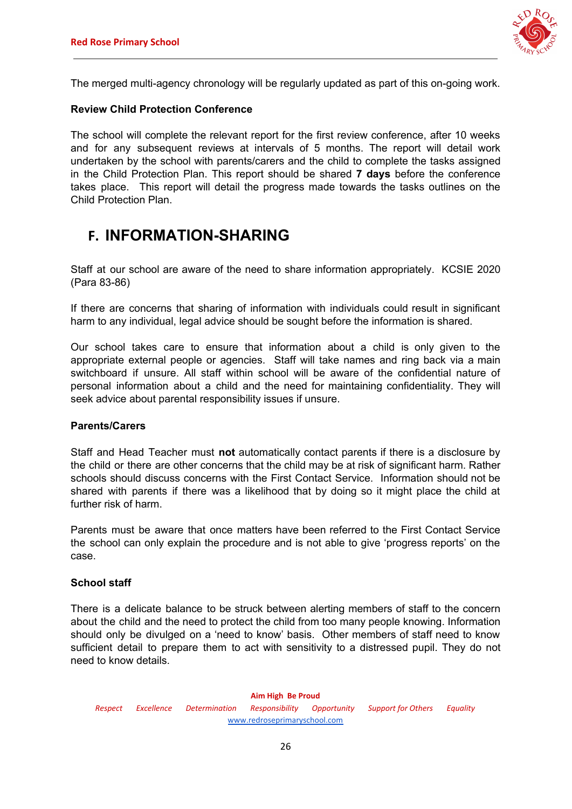

The merged multi-agency chronology will be regularly updated as part of this on-going work.

#### **Review Child Protection Conference**

The school will complete the relevant report for the first review conference, after 10 weeks and for any subsequent reviews at intervals of 5 months. The report will detail work undertaken by the school with parents/carers and the child to complete the tasks assigned in the Child Protection Plan. This report should be shared **7 days** before the conference takes place. This report will detail the progress made towards the tasks outlines on the Child Protection Plan.

## **F. INFORMATION-SHARING**

Staff at our school are aware of the need to share information appropriately. KCSIE 2020 (Para 83-86)

If there are concerns that sharing of information with individuals could result in significant harm to any individual, legal advice should be sought before the information is shared.

Our school takes care to ensure that information about a child is only given to the appropriate external people or agencies. Staff will take names and ring back via a main switchboard if unsure. All staff within school will be aware of the confidential nature of personal information about a child and the need for maintaining confidentiality. They will seek advice about parental responsibility issues if unsure.

#### **Parents/Carers**

Staff and Head Teacher must **not** automatically contact parents if there is a disclosure by the child or there are other concerns that the child may be at risk of significant harm. Rather schools should discuss concerns with the First Contact Service. Information should not be shared with parents if there was a likelihood that by doing so it might place the child at further risk of harm.

Parents must be aware that once matters have been referred to the First Contact Service the school can only explain the procedure and is not able to give 'progress reports' on the case.

#### **School staff**

There is a delicate balance to be struck between alerting members of staff to the concern about the child and the need to protect the child from too many people knowing. Information should only be divulged on a 'need to know' basis. Other members of staff need to know sufficient detail to prepare them to act with sensitivity to a distressed pupil. They do not need to know details.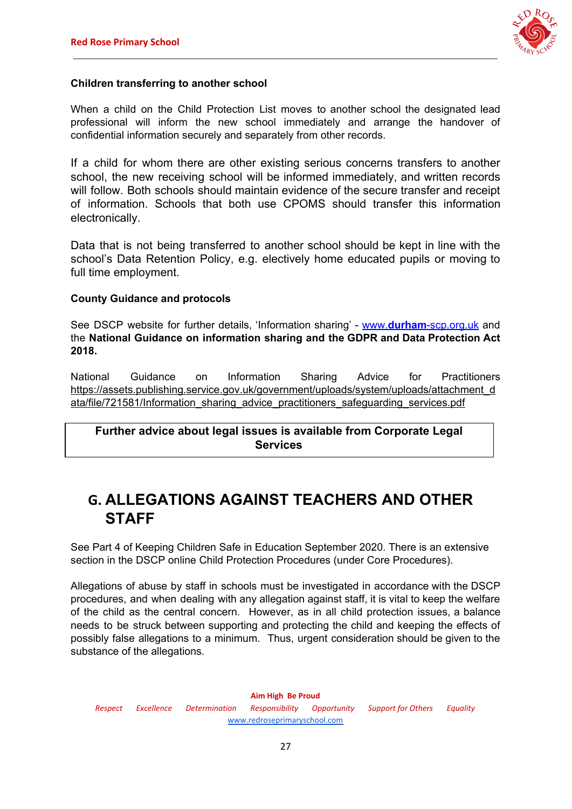

### **Children transferring to another school**

When a child on the Child Protection List moves to another school the designated lead professional will inform the new school immediately and arrange the handover of confidential information securely and separately from other records.

If a child for whom there are other existing serious concerns transfers to another school, the new receiving school will be informed immediately, and written records will follow. Both schools should maintain evidence of the secure transfer and receipt of information. Schools that both use CPOMS should transfer this information electronically.

Data that is not being transferred to another school should be kept in line with the school's Data Retention Policy, e.g. electively home educated pupils or moving to full time employment.

### **County Guidance and protocols**

See DSCP website for further details, 'Information sharing' - [www.](http://www.durham-scp.org.uk/)**[durham](http://www.durham-scp.org.uk/)**[-scp.org.uk](http://www.durham-scp.org.uk/) and the **National Guidance on information sharing and the GDPR and Data Protection Act 2018.**

National Guidance on Information Sharing Advice for Practitioners [https://assets.publishing.service.gov.uk/government/uploads/system/uploads/attachment\\_d](https://assets.publishing.service.gov.uk/government/uploads/system/uploads/attachment_data/file/721581/Information_sharing_advice_practitioners_safeguarding_services.pdf) [ata/file/721581/Information\\_sharing\\_advice\\_practitioners\\_safeguarding\\_services.pdf](https://assets.publishing.service.gov.uk/government/uploads/system/uploads/attachment_data/file/721581/Information_sharing_advice_practitioners_safeguarding_services.pdf)

## **Further advice about legal issues is available from Corporate Legal Services**

## **G. ALLEGATIONS AGAINST TEACHERS AND OTHER STAFF**

See Part 4 of Keeping Children Safe in Education September 2020. There is an extensive section in the DSCP online Child Protection Procedures (under Core Procedures).

Allegations of abuse by staff in schools must be investigated in accordance with the DSCP procedures, and when dealing with any allegation against staff, it is vital to keep the welfare of the child as the central concern. However, as in all child protection issues, a balance needs to be struck between supporting and protecting the child and keeping the effects of possibly false allegations to a minimum. Thus, urgent consideration should be given to the substance of the allegations.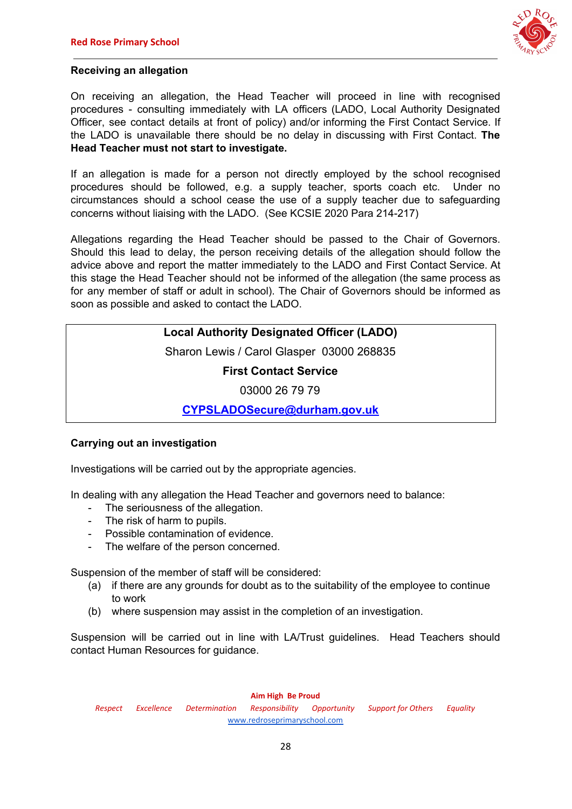

### **Receiving an allegation**

On receiving an allegation, the Head Teacher will proceed in line with recognised procedures - consulting immediately with LA officers (LADO, Local Authority Designated Officer, see contact details at front of policy) and/or informing the First Contact Service. If the LADO is unavailable there should be no delay in discussing with First Contact. **The Head Teacher must not start to investigate.**

If an allegation is made for a person not directly employed by the school recognised procedures should be followed, e.g. a supply teacher, sports coach etc. Under no circumstances should a school cease the use of a supply teacher due to safeguarding concerns without liaising with the LADO. (See KCSIE 2020 Para 214-217)

Allegations regarding the Head Teacher should be passed to the Chair of Governors. Should this lead to delay, the person receiving details of the allegation should follow the advice above and report the matter immediately to the LADO and First Contact Service. At this stage the Head Teacher should not be informed of the allegation (the same process as for any member of staff or adult in school). The Chair of Governors should be informed as soon as possible and asked to contact the LADO.

## **Local Authority Designated Officer (LADO)**

Sharon Lewis / Carol Glasper 03000 268835

**First Contact Service**

03000 26 79 79

**[CYPSLADOSecure@durham.gov.uk](mailto:CYPSLADOSecure@durham.gov.uk)**

### **Carrying out an investigation**

Investigations will be carried out by the appropriate agencies.

In dealing with any allegation the Head Teacher and governors need to balance:

- The seriousness of the allegation.
- The risk of harm to pupils.
- Possible contamination of evidence.
- The welfare of the person concerned.

Suspension of the member of staff will be considered:

- (a) if there are any grounds for doubt as to the suitability of the employee to continue to work
- (b) where suspension may assist in the completion of an investigation.

Suspension will be carried out in line with LA/Trust guidelines. Head Teachers should contact Human Resources for guidance.

#### **Aim High Be Proud**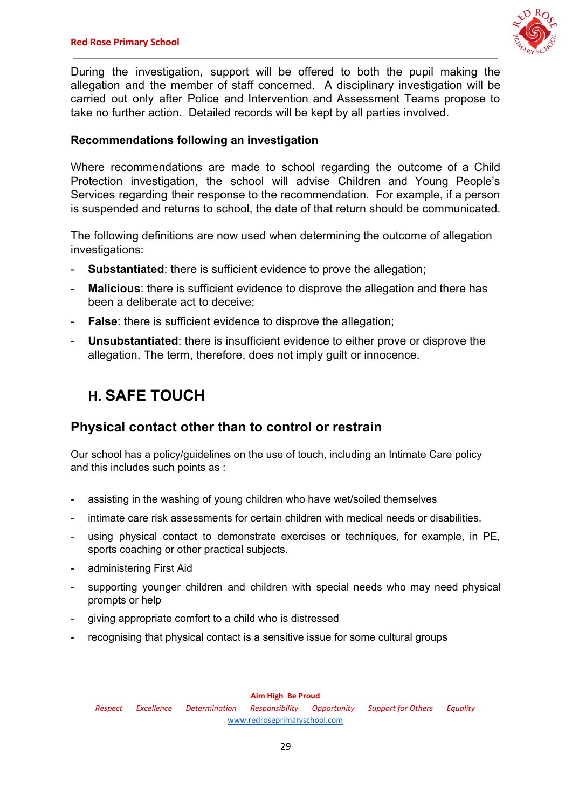

During the investigation, support will be offered to both the pupil making the allegation and the member of staff concerned. A disciplinary investigation will be carried out only after Police and Intervention and Assessment Teams propose to take no further action. Detailed records will be kept by all parties involved.

## **Recommendations following an investigation**

Where recommendations are made to school regarding the outcome of a Child Protection investigation, the school will advise Children and Young People's Services regarding their response to the recommendation. For example, if a person is suspended and returns to school, the date of that return should be communicated.

The following definitions are now used when determining the outcome of allegation investigations:

- **Substantiated:** there is sufficient evidence to prove the allegation;
- **Malicious**: there is sufficient evidence to disprove the allegation and there has been a deliberate act to deceive;
- **False**: there is sufficient evidence to disprove the allegation;
- **Unsubstantiated**: there is insufficient evidence to either prove or disprove the allegation. The term, therefore, does not imply guilt or innocence.

## **H. SAFE TOUCH**

## **Physical contact other than to control or restrain**

Our school has a policy/guidelines on the use of touch, including an Intimate Care policy and this includes such points as :

- assisting in the washing of young children who have wet/soiled themselves
- intimate care risk assessments for certain children with medical needs or disabilities.
- using physical contact to demonstrate exercises or techniques, for example, in PE, sports coaching or other practical subjects.
- administering First Aid
- supporting younger children and children with special needs who may need physical prompts or help
- giving appropriate comfort to a child who is distressed
- recognising that physical contact is a sensitive issue for some cultural groups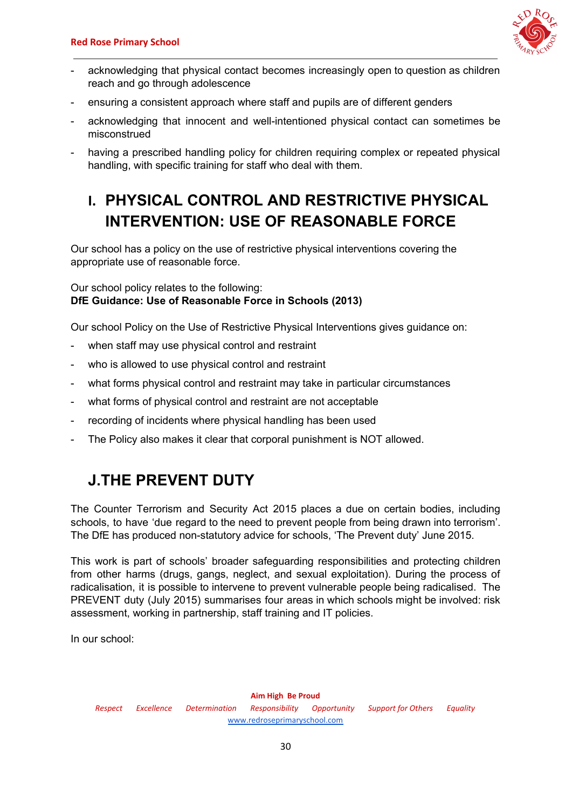

- acknowledging that physical contact becomes increasingly open to question as children reach and go through adolescence
- ensuring a consistent approach where staff and pupils are of different genders
- acknowledging that innocent and well-intentioned physical contact can sometimes be misconstrued
- having a prescribed handling policy for children requiring complex or repeated physical handling, with specific training for staff who deal with them.

## **I. PHYSICAL CONTROL AND RESTRICTIVE PHYSICAL INTERVENTION: USE OF REASONABLE FORCE**

Our school has a policy on the use of restrictive physical interventions covering the appropriate use of reasonable force.

### Our school policy relates to the following: **DfE Guidance: Use of Reasonable Force in Schools (2013)**

Our school Policy on the Use of Restrictive Physical Interventions gives guidance on:

- when staff may use physical control and restraint
- who is allowed to use physical control and restraint
- what forms physical control and restraint may take in particular circumstances
- what forms of physical control and restraint are not acceptable
- recording of incidents where physical handling has been used
- The Policy also makes it clear that corporal punishment is NOT allowed.

## **J.THE PREVENT DUTY**

The Counter Terrorism and Security Act 2015 places a due on certain bodies, including schools, to have 'due regard to the need to prevent people from being drawn into terrorism'. The DfE has produced non-statutory advice for schools, 'The Prevent duty' June 2015.

This work is part of schools' broader safeguarding responsibilities and protecting children from other harms (drugs, gangs, neglect, and sexual exploitation). During the process of radicalisation, it is possible to intervene to prevent vulnerable people being radicalised. The PREVENT duty (July 2015) summarises four areas in which schools might be involved: risk assessment, working in partnership, staff training and IT policies.

In our school: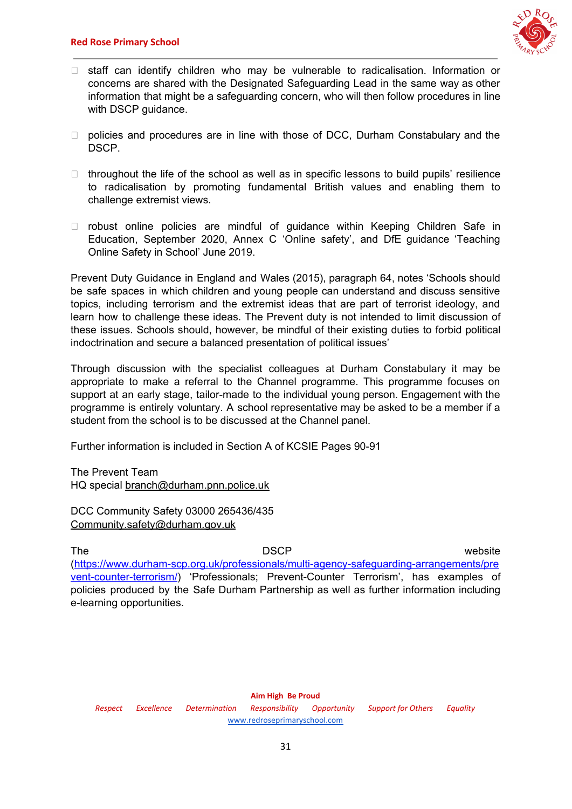

- $\Box$  staff can identify children who may be vulnerable to radicalisation. Information or concerns are shared with the Designated Safeguarding Lead in the same way as other information that might be a safeguarding concern, who will then follow procedures in line with DSCP guidance.
- $\Box$  policies and procedures are in line with those of DCC, Durham Constabulary and the DSCP.
- $\Box$  throughout the life of the school as well as in specific lessons to build pupils' resilience to radicalisation by promoting fundamental British values and enabling them to challenge extremist views.
- $\Box$  robust online policies are mindful of guidance within Keeping Children Safe in Education, September 2020, Annex C 'Online safety', and DfE guidance 'Teaching Online Safety in School' June 2019.

Prevent Duty Guidance in England and Wales (2015), paragraph 64, notes 'Schools should be safe spaces in which children and young people can understand and discuss sensitive topics, including terrorism and the extremist ideas that are part of terrorist ideology, and learn how to challenge these ideas. The Prevent duty is not intended to limit discussion of these issues. Schools should, however, be mindful of their existing duties to forbid political indoctrination and secure a balanced presentation of political issues'

Through discussion with the specialist colleagues at Durham Constabulary it may be appropriate to make a referral to the Channel programme. This programme focuses on support at an early stage, tailor-made to the individual young person. Engagement with the programme is entirely voluntary. A school representative may be asked to be a member if a student from the school is to be discussed at the Channel panel.

Further information is included in Section A of KCSIE Pages 90-91

The Prevent Team HQ special [branch@durham.pnn.police.uk](mailto:branch@durham.pnn.police.uk)

DCC Community Safety 03000 265436/435 [Community.safety@durham.gov.uk](mailto:Community.safety@durham.gov.uk)

### The website and DSCP and DSCP website

[\(https://www.durham-scp.org.uk/professionals/multi-agency-safeguarding-arrangements/pre](https://www.durham-scp.org.uk/professionals/multi-agency-safeguarding-arrangements/prevent-counter-terrorism/) [vent-counter-terrorism/](https://www.durham-scp.org.uk/professionals/multi-agency-safeguarding-arrangements/prevent-counter-terrorism/)) 'Professionals; Prevent-Counter Terrorism', has examples of policies produced by the Safe Durham Partnership as well as further information including e-learning opportunities.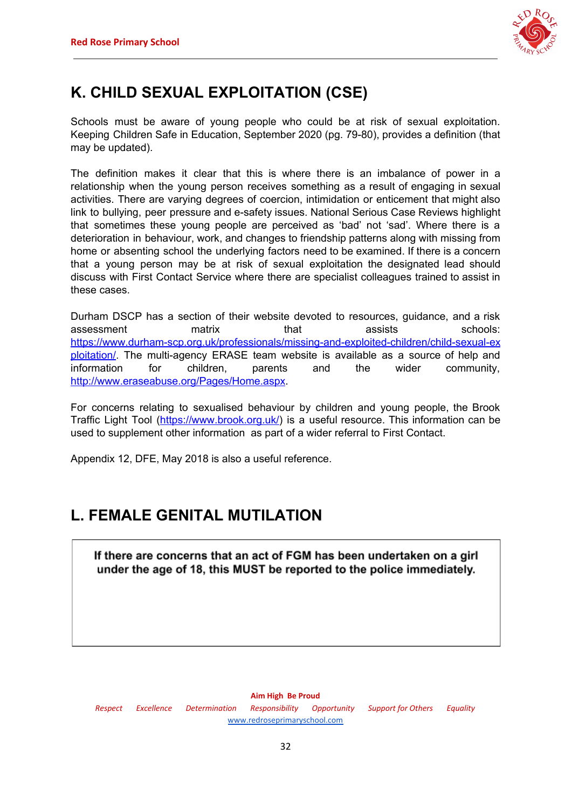

## **K. CHILD SEXUAL EXPLOITATION (CSE)**

Schools must be aware of young people who could be at risk of sexual exploitation. Keeping Children Safe in Education, September 2020 (pg. 79-80), provides a definition (that may be updated).

The definition makes it clear that this is where there is an imbalance of power in a relationship when the young person receives something as a result of engaging in sexual activities. There are varying degrees of coercion, intimidation or enticement that might also link to bullying, peer pressure and e-safety issues. National Serious Case Reviews highlight that sometimes these young people are perceived as 'bad' not 'sad'. Where there is a deterioration in behaviour, work, and changes to friendship patterns along with missing from home or absenting school the underlying factors need to be examined. If there is a concern that a young person may be at risk of sexual exploitation the designated lead should discuss with First Contact Service where there are specialist colleagues trained to assist in these cases.

Durham DSCP has a section of their website devoted to resources, guidance, and a risk assessment matrix that assists schools: [https://www.durham-scp.org.uk/professionals/missing-and-exploited-children/child-sexual-ex](https://www.durham-scp.org.uk/professionals/missing-and-exploited-children/child-sexual-exploitation/) [ploitation/.](https://www.durham-scp.org.uk/professionals/missing-and-exploited-children/child-sexual-exploitation/) The multi-agency ERASE team website is available as a source of help and information for children, parents and the wider community, <http://www.eraseabuse.org/Pages/Home.aspx>.

For concerns relating to sexualised behaviour by children and young people, the Brook Traffic Light Tool (<https://www.brook.org.uk/>) is a useful resource. This information can be used to supplement other information as part of a wider referral to First Contact.

Appendix 12, DFE, May 2018 is also a useful reference.

## **L. FEMALE GENITAL MUTILATION**

If there are concerns that an act of FGM has been undertaken on a girl under the age of 18, this MUST be reported to the police immediately.

#### **Aim High Be Proud**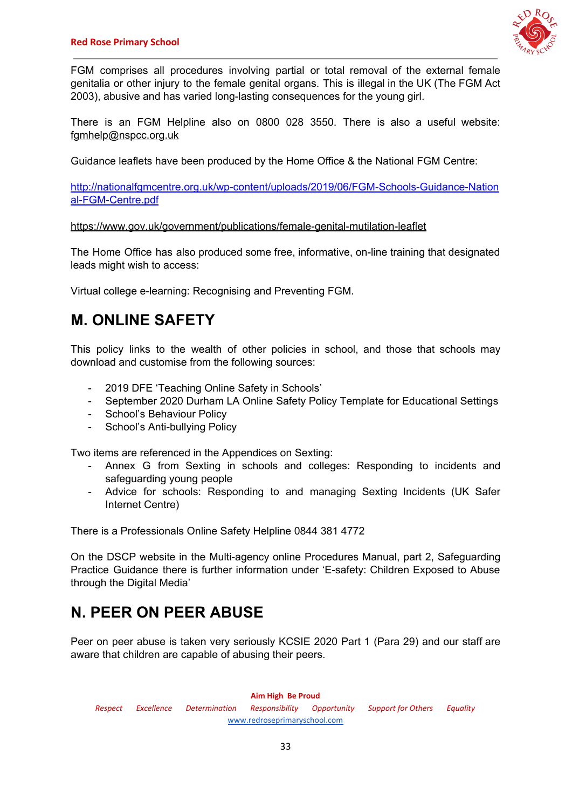

FGM comprises all procedures involving partial or total removal of the external female genitalia or other injury to the female genital organs. This is illegal in the UK (The FGM Act 2003), abusive and has varied long-lasting consequences for the young girl.

There is an FGM Helpline also on 0800 028 3550. There is also a useful website: [fgmhelp@nspcc.org.uk](mailto:fgmhelp@nspcc.org.uk)

Guidance leaflets have been produced by the Home Office & the National FGM Centre:

[http://nationalfgmcentre.org.uk/wp-content/uploads/2019/06/FGM-Schools-Guidance-Nation](http://nationalfgmcentre.org.uk/wp-content/uploads/2019/06/FGM-Schools-Guidance-National-FGM-Centre.pdf) [al-FGM-Centre.pdf](http://nationalfgmcentre.org.uk/wp-content/uploads/2019/06/FGM-Schools-Guidance-National-FGM-Centre.pdf)

[https://www.gov.uk/government/publications/female-genital-mutilation-leaflet](http://briefing.safeguardinginschools.co.uk/lt.php?s=c08dd3322ee433f9daa71867532506b1&i=73A99A5A617)

The Home Office has also produced some free, informative, on-line training that designated leads might wish to access:

Virtual college e-learning: Recognising and Preventing FGM.

## **M. ONLINE SAFETY**

This policy links to the wealth of other policies in school, and those that schools may download and customise from the following sources:

- 2019 DFE 'Teaching Online Safety in Schools'
- September 2020 Durham LA Online Safety Policy Template for Educational Settings
- School's Behaviour Policy
- School's Anti-bullying Policy

Two items are referenced in the Appendices on Sexting:

- Annex G from Sexting in schools and colleges: Responding to incidents and safeguarding young people
- Advice for schools: Responding to and managing Sexting Incidents (UK Safer Internet Centre)

There is a Professionals Online Safety Helpline 0844 381 4772

On the DSCP website in the Multi-agency online Procedures Manual, part 2, Safeguarding Practice Guidance there is further information under 'E-safety: Children Exposed to Abuse through the Digital Media'

## **N. PEER ON PEER ABUSE**

Peer on peer abuse is taken very seriously KCSIE 2020 Part 1 (Para 29) and our staff are aware that children are capable of abusing their peers.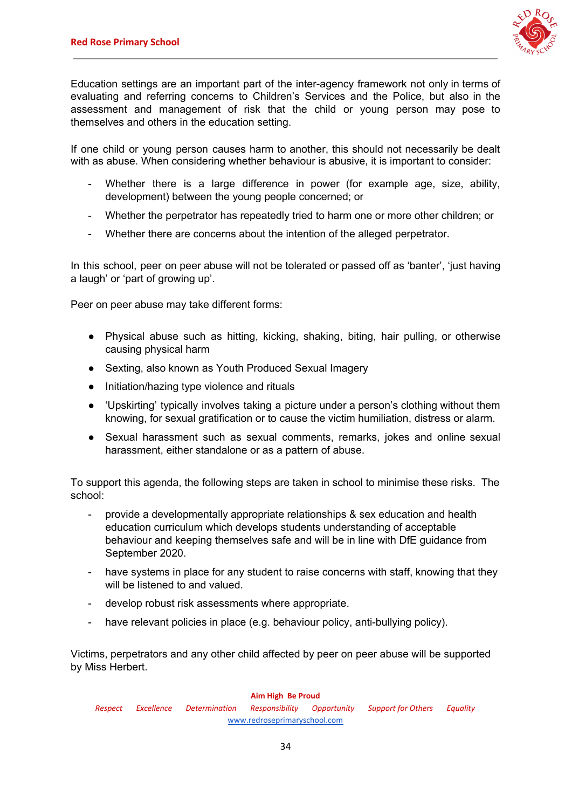

Education settings are an important part of the inter-agency framework not only in terms of evaluating and referring concerns to Children's Services and the Police, but also in the assessment and management of risk that the child or young person may pose to themselves and others in the education setting.

If one child or young person causes harm to another, this should not necessarily be dealt with as abuse. When considering whether behaviour is abusive, it is important to consider:

- Whether there is a large difference in power (for example age, size, ability, development) between the young people concerned; or
- Whether the perpetrator has repeatedly tried to harm one or more other children; or
- Whether there are concerns about the intention of the alleged perpetrator.

In this school, peer on peer abuse will not be tolerated or passed off as 'banter', 'just having a laugh' or 'part of growing up'.

Peer on peer abuse may take different forms:

- Physical abuse such as hitting, kicking, shaking, biting, hair pulling, or otherwise causing physical harm
- Sexting, also known as Youth Produced Sexual Imagery
- Initiation/hazing type violence and rituals
- 'Upskirting' typically involves taking a picture under a person's clothing without them knowing, for sexual gratification or to cause the victim humiliation, distress or alarm.
- Sexual harassment such as sexual comments, remarks, jokes and online sexual harassment, either standalone or as a pattern of abuse.

To support this agenda, the following steps are taken in school to minimise these risks. The school:

- provide a developmentally appropriate relationships & sex education and health education curriculum which develops students understanding of acceptable behaviour and keeping themselves safe and will be in line with DfE guidance from September 2020.
- have systems in place for any student to raise concerns with staff, knowing that they will be listened to and valued.
- develop robust risk assessments where appropriate.
- have relevant policies in place (e.g. behaviour policy, anti-bullying policy).

Victims, perpetrators and any other child affected by peer on peer abuse will be supported by Miss Herbert.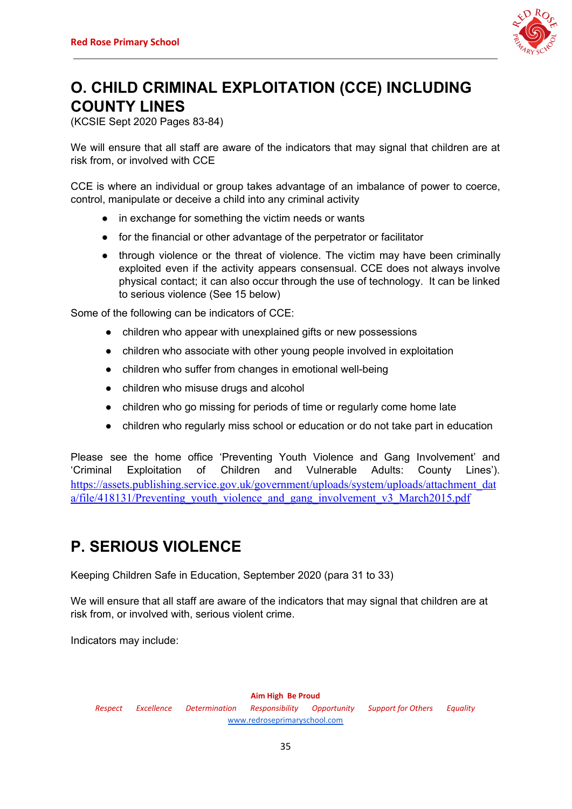

## **O. CHILD CRIMINAL EXPLOITATION (CCE) INCLUDING COUNTY LINES**

(KCSIE Sept 2020 Pages 83-84)

We will ensure that all staff are aware of the indicators that may signal that children are at risk from, or involved with CCE

CCE is where an individual or group takes advantage of an imbalance of power to coerce, control, manipulate or deceive a child into any criminal activity

- in exchange for something the victim needs or wants
- for the financial or other advantage of the perpetrator or facilitator
- through violence or the threat of violence. The victim may have been criminally exploited even if the activity appears consensual. CCE does not always involve physical contact; it can also occur through the use of technology. It can be linked to serious violence (See 15 below)

Some of the following can be indicators of CCE:

- children who appear with unexplained gifts or new possessions
- children who associate with other young people involved in exploitation
- children who suffer from changes in emotional well-being
- children who misuse drugs and alcohol
- children who go missing for periods of time or regularly come home late
- children who regularly miss school or education or do not take part in education

Please see the home office 'Preventing Youth Violence and Gang Involvement' and 'Criminal Exploitation of Children and Vulnerable Adults: County Lines'). [https://assets.publishing.service.gov.uk/government/uploads/system/uploads/attachment\\_dat](https://assets.publishing.service.gov.uk/government/uploads/system/uploads/attachment_data/file/418131/Preventing_youth_violence_and_gang_involvement_v3_March2015.pdf) a/file/418131/Preventing youth violence and gang involvement v3 March2015.pdf

## **P. SERIOUS VIOLENCE**

Keeping Children Safe in Education, September 2020 (para 31 to 33)

We will ensure that all staff are aware of the indicators that may signal that children are at risk from, or involved with, serious violent crime.

Indicators may include: